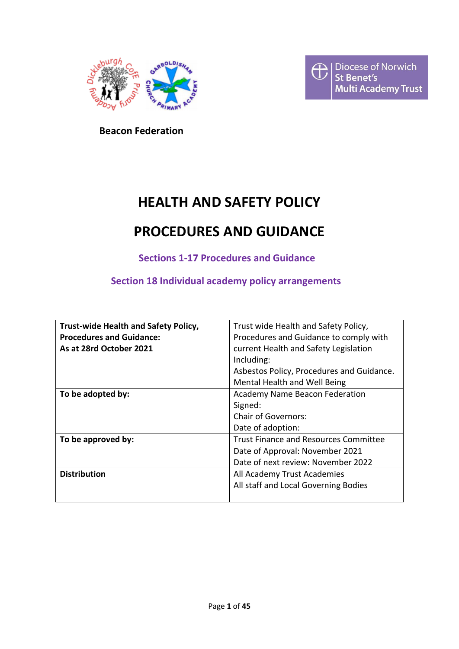



 **Beacon Federation**

# **HEALTH AND SAFETY POLICY**

# **PROCEDURES AND GUIDANCE**

**Sections 1-17 Procedures and Guidance**

**Section 18 Individual academy policy arrangements**

| Trust-wide Health and Safety Policy, | Trust wide Health and Safety Policy,         |  |  |
|--------------------------------------|----------------------------------------------|--|--|
| <b>Procedures and Guidance:</b>      | Procedures and Guidance to comply with       |  |  |
| As at 28rd October 2021              | current Health and Safety Legislation        |  |  |
|                                      | Including:                                   |  |  |
|                                      | Asbestos Policy, Procedures and Guidance.    |  |  |
|                                      | Mental Health and Well Being                 |  |  |
| To be adopted by:                    | <b>Academy Name Beacon Federation</b>        |  |  |
|                                      | Signed:                                      |  |  |
|                                      | <b>Chair of Governors:</b>                   |  |  |
|                                      | Date of adoption:                            |  |  |
| To be approved by:                   | <b>Trust Finance and Resources Committee</b> |  |  |
|                                      | Date of Approval: November 2021              |  |  |
|                                      | Date of next review: November 2022           |  |  |
| <b>Distribution</b>                  | All Academy Trust Academies                  |  |  |
|                                      | All staff and Local Governing Bodies         |  |  |
|                                      |                                              |  |  |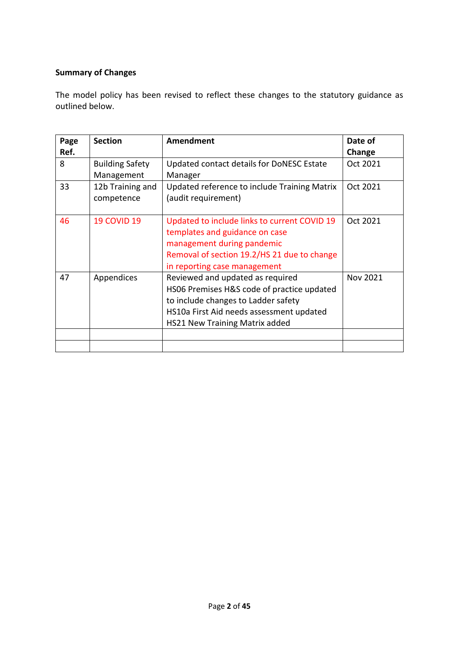# **Summary of Changes**

The model policy has been revised to reflect these changes to the statutory guidance as outlined below.

| Page | <b>Section</b>         | <b>Amendment</b>                             | Date of  |
|------|------------------------|----------------------------------------------|----------|
| Ref. |                        |                                              | Change   |
| 8    | <b>Building Safety</b> | Updated contact details for DoNESC Estate    | Oct 2021 |
|      | Management             | Manager                                      |          |
| 33   | 12b Training and       | Updated reference to include Training Matrix | Oct 2021 |
|      | competence             | (audit requirement)                          |          |
|      |                        |                                              |          |
| 46   | <b>19 COVID 19</b>     | Updated to include links to current COVID 19 | Oct 2021 |
|      |                        | templates and guidance on case               |          |
|      |                        | management during pandemic                   |          |
|      |                        | Removal of section 19.2/HS 21 due to change  |          |
|      |                        | in reporting case management                 |          |
| 47   | Appendices             | Reviewed and updated as required             | Nov 2021 |
|      |                        | HS06 Premises H&S code of practice updated   |          |
|      |                        | to include changes to Ladder safety          |          |
|      |                        | HS10a First Aid needs assessment updated     |          |
|      |                        | <b>HS21 New Training Matrix added</b>        |          |
|      |                        |                                              |          |
|      |                        |                                              |          |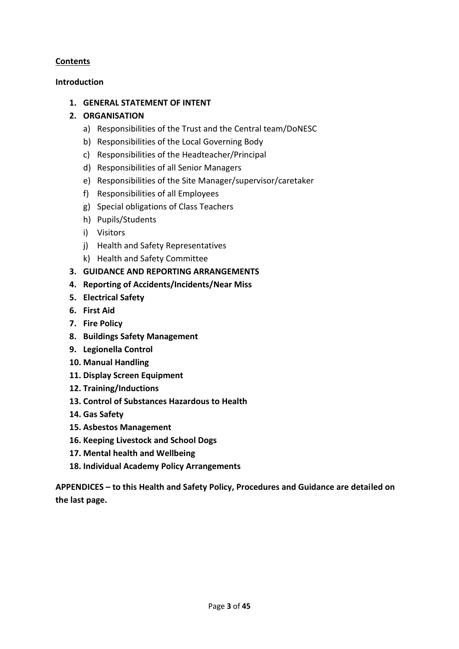# **Contents**

# **Introduction**

# **1. GENERAL STATEMENT OF INTENT**

# **2. ORGANISATION**

- a) Responsibilities of the Trust and the Central team/DoNESC
- b) Responsibilities of the Local Governing Body
- c) Responsibilities of the Headteacher/Principal
- d) Responsibilities of all Senior Managers
- e) Responsibilities of the Site Manager/supervisor/caretaker
- f) Responsibilities of all Employees
- g) Special obligations of Class Teachers
- h) Pupils/Students
- i) Visitors
- j) Health and Safety Representatives
- k) Health and Safety Committee
- **3. GUIDANCE AND REPORTING ARRANGEMENTS**
- **4. Reporting of Accidents/Incidents/Near Miss**
- **5. Electrical Safety**
- **6. First Aid**
- **7. Fire Policy**
- **8. Buildings Safety Management**
- **9. Legionella Control**
- **10. Manual Handling**
- **11. Display Screen Equipment**
- **12. Training/Inductions**
- **13. Control of Substances Hazardous to Health**
- **14. Gas Safety**
- **15. Asbestos Management**
- **16. Keeping Livestock and School Dogs**
- **17. Mental health and Wellbeing**
- **18. Individual Academy Policy Arrangements**

**APPENDICES – to this Health and Safety Policy, Procedures and Guidance are detailed on the last page.**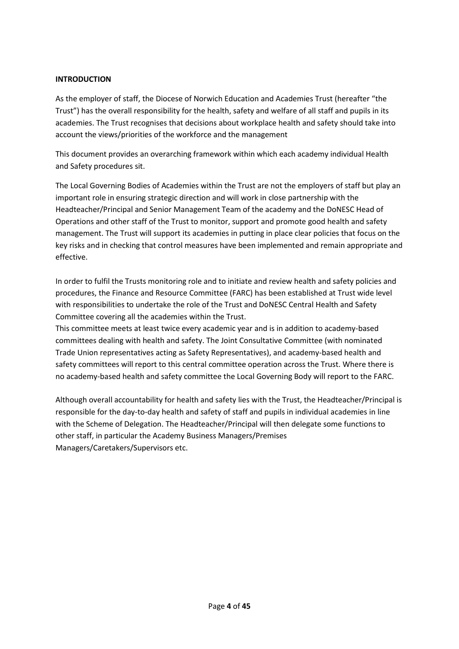#### **INTRODUCTION**

As the employer of staff, the Diocese of Norwich Education and Academies Trust (hereafter "the Trust") has the overall responsibility for the health, safety and welfare of all staff and pupils in its academies. The Trust recognises that decisions about workplace health and safety should take into account the views/priorities of the workforce and the management

This document provides an overarching framework within which each academy individual Health and Safety procedures sit.

The Local Governing Bodies of Academies within the Trust are not the employers of staff but play an important role in ensuring strategic direction and will work in close partnership with the Headteacher/Principal and Senior Management Team of the academy and the DoNESC Head of Operations and other staff of the Trust to monitor, support and promote good health and safety management. The Trust will support its academies in putting in place clear policies that focus on the key risks and in checking that control measures have been implemented and remain appropriate and effective.

In order to fulfil the Trusts monitoring role and to initiate and review health and safety policies and procedures, the Finance and Resource Committee (FARC) has been established at Trust wide level with responsibilities to undertake the role of the Trust and DoNESC Central Health and Safety Committee covering all the academies within the Trust.

This committee meets at least twice every academic year and is in addition to academy-based committees dealing with health and safety. The Joint Consultative Committee (with nominated Trade Union representatives acting as Safety Representatives), and academy-based health and safety committees will report to this central committee operation across the Trust. Where there is no academy-based health and safety committee the Local Governing Body will report to the FARC.

Although overall accountability for health and safety lies with the Trust, the Headteacher/Principal is responsible for the day-to-day health and safety of staff and pupils in individual academies in line with the Scheme of Delegation. The Headteacher/Principal will then delegate some functions to other staff, in particular the Academy Business Managers/Premises Managers/Caretakers/Supervisors etc.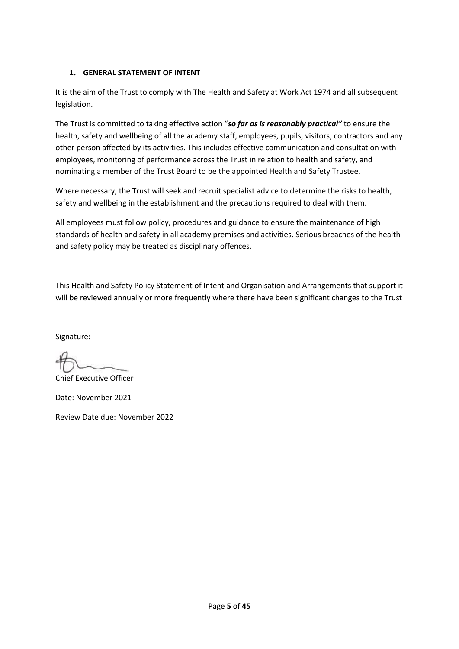# **1. GENERAL STATEMENT OF INTENT**

It is the aim of the Trust to comply with The Health and Safety at Work Act 1974 and all subsequent legislation.

The Trust is committed to taking effective action "*so far as is reasonably practical"* to ensure the health, safety and wellbeing of all the academy staff, employees, pupils, visitors, contractors and any other person affected by its activities. This includes effective communication and consultation with employees, monitoring of performance across the Trust in relation to health and safety, and nominating a member of the Trust Board to be the appointed Health and Safety Trustee.

Where necessary, the Trust will seek and recruit specialist advice to determine the risks to health, safety and wellbeing in the establishment and the precautions required to deal with them.

All employees must follow policy, procedures and guidance to ensure the maintenance of high standards of health and safety in all academy premises and activities. Serious breaches of the health and safety policy may be treated as disciplinary offences.

This Health and Safety Policy Statement of Intent and Organisation and Arrangements that support it will be reviewed annually or more frequently where there have been significant changes to the Trust

Signature:

Chief Executive Officer

Date: November 2021

Review Date due: November 2022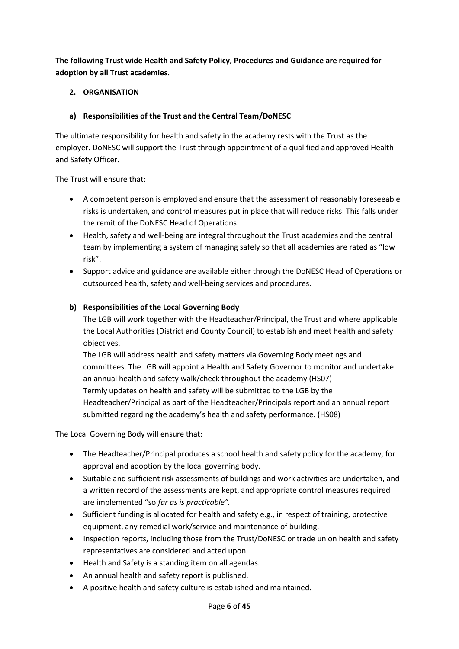**The following Trust wide Health and Safety Policy, Procedures and Guidance are required for adoption by all Trust academies.**

# **2. ORGANISATION**

# **a) Responsibilities of the Trust and the Central Team/DoNESC**

The ultimate responsibility for health and safety in the academy rests with the Trust as the employer. DoNESC will support the Trust through appointment of a qualified and approved Health and Safety Officer.

The Trust will ensure that:

- A competent person is employed and ensure that the assessment of reasonably foreseeable risks is undertaken, and control measures put in place that will reduce risks. This falls under the remit of the DoNESC Head of Operations.
- Health, safety and well-being are integral throughout the Trust academies and the central team by implementing a system of managing safely so that all academies are rated as "low risk".
- Support advice and guidance are available either through the DoNESC Head of Operations or outsourced health, safety and well-being services and procedures.

# **b) Responsibilities of the Local Governing Body**

The LGB will work together with the Headteacher/Principal, the Trust and where applicable the Local Authorities (District and County Council) to establish and meet health and safety objectives.

The LGB will address health and safety matters via Governing Body meetings and committees. The LGB will appoint a Health and Safety Governor to monitor and undertake an annual health and safety walk/check throughout the academy (HS07) Termly updates on health and safety will be submitted to the LGB by the Headteacher/Principal as part of the Headteacher/Principals report and an annual report submitted regarding the academy's health and safety performance. (HS08)

The Local Governing Body will ensure that:

- The Headteacher/Principal produces a school health and safety policy for the academy, for approval and adoption by the local governing body.
- Suitable and sufficient risk assessments of buildings and work activities are undertaken, and a written record of the assessments are kept, and appropriate control measures required are implemented "so *far as is practicable".*
- Sufficient funding is allocated for health and safety e.g., in respect of training, protective equipment, any remedial work/service and maintenance of building.
- Inspection reports, including those from the Trust/DoNESC or trade union health and safety representatives are considered and acted upon.
- Health and Safety is a standing item on all agendas.
- An annual health and safety report is published.
- A positive health and safety culture is established and maintained.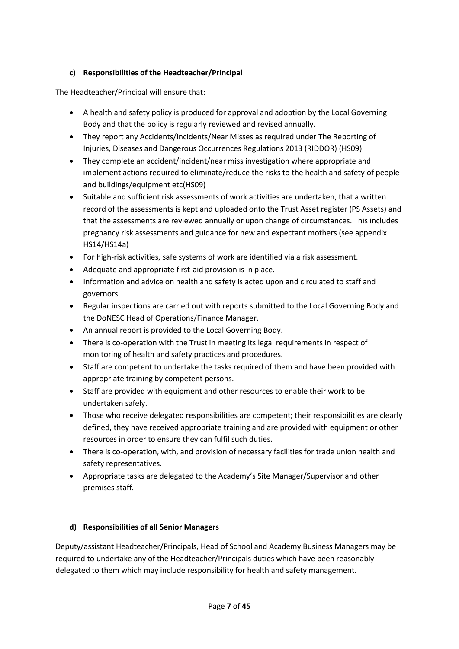# **c) Responsibilities of the Headteacher/Principal**

The Headteacher/Principal will ensure that:

- A health and safety policy is produced for approval and adoption by the Local Governing Body and that the policy is regularly reviewed and revised annually.
- They report any Accidents/Incidents/Near Misses as required under The Reporting of Injuries, Diseases and Dangerous Occurrences Regulations 2013 (RIDDOR) (HS09)
- They complete an accident/incident/near miss investigation where appropriate and implement actions required to eliminate/reduce the risks to the health and safety of people and buildings/equipment etc(HS09)
- Suitable and sufficient risk assessments of work activities are undertaken, that a written record of the assessments is kept and uploaded onto the Trust Asset register (PS Assets) and that the assessments are reviewed annually or upon change of circumstances. This includes pregnancy risk assessments and guidance for new and expectant mothers (see appendix HS14/HS14a)
- For high-risk activities, safe systems of work are identified via a risk assessment.
- Adequate and appropriate first-aid provision is in place.
- Information and advice on health and safety is acted upon and circulated to staff and governors.
- Regular inspections are carried out with reports submitted to the Local Governing Body and the DoNESC Head of Operations/Finance Manager.
- An annual report is provided to the Local Governing Body.
- There is co-operation with the Trust in meeting its legal requirements in respect of monitoring of health and safety practices and procedures.
- Staff are competent to undertake the tasks required of them and have been provided with appropriate training by competent persons.
- Staff are provided with equipment and other resources to enable their work to be undertaken safely.
- Those who receive delegated responsibilities are competent; their responsibilities are clearly defined, they have received appropriate training and are provided with equipment or other resources in order to ensure they can fulfil such duties.
- There is co-operation, with, and provision of necessary facilities for trade union health and safety representatives.
- Appropriate tasks are delegated to the Academy's Site Manager/Supervisor and other premises staff.

# **d) Responsibilities of all Senior Managers**

Deputy/assistant Headteacher/Principals, Head of School and Academy Business Managers may be required to undertake any of the Headteacher/Principals duties which have been reasonably delegated to them which may include responsibility for health and safety management.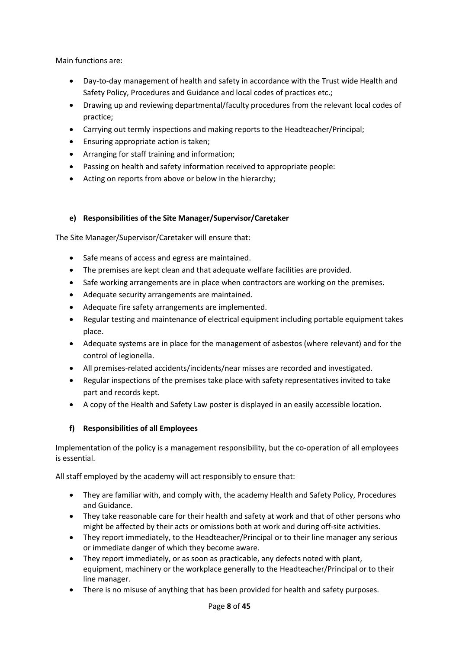Main functions are:

- Day-to-day management of health and safety in accordance with the Trust wide Health and Safety Policy, Procedures and Guidance and local codes of practices etc.;
- Drawing up and reviewing departmental/faculty procedures from the relevant local codes of practice;
- Carrying out termly inspections and making reports to the Headteacher/Principal;
- Ensuring appropriate action is taken;
- Arranging for staff training and information;
- Passing on health and safety information received to appropriate people:
- Acting on reports from above or below in the hierarchy;

# **e) Responsibilities of the Site Manager/Supervisor/Caretaker**

The Site Manager/Supervisor/Caretaker will ensure that:

- Safe means of access and egress are maintained.
- The premises are kept clean and that adequate welfare facilities are provided.
- Safe working arrangements are in place when contractors are working on the premises.
- Adequate security arrangements are maintained.
- Adequate fire safety arrangements are implemented.
- Regular testing and maintenance of electrical equipment including portable equipment takes place.
- Adequate systems are in place for the management of asbestos (where relevant) and for the control of legionella.
- All premises-related accidents/incidents/near misses are recorded and investigated.
- Regular inspections of the premises take place with safety representatives invited to take part and records kept.
- A copy of the Health and Safety Law poster is displayed in an easily accessible location.

## **f) Responsibilities of all Employees**

Implementation of the policy is a management responsibility, but the co-operation of all employees is essential.

All staff employed by the academy will act responsibly to ensure that:

- They are familiar with, and comply with, the academy Health and Safety Policy, Procedures and Guidance.
- They take reasonable care for their health and safety at work and that of other persons who might be affected by their acts or omissions both at work and during off-site activities.
- They report immediately, to the Headteacher/Principal or to their line manager any serious or immediate danger of which they become aware.
- They report immediately, or as soon as practicable, any defects noted with plant, equipment, machinery or the workplace generally to the Headteacher/Principal or to their line manager.
- There is no misuse of anything that has been provided for health and safety purposes.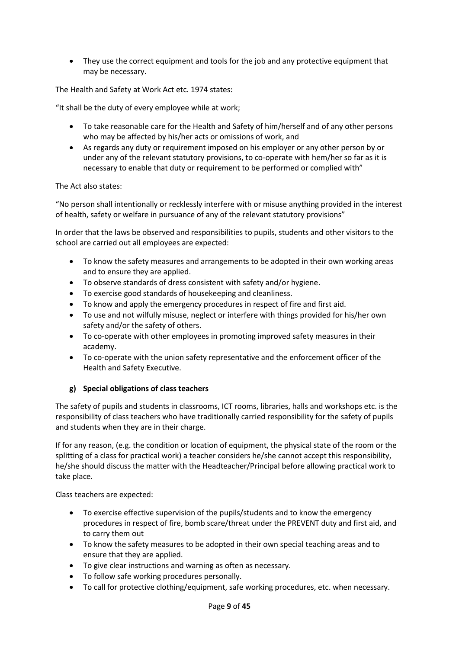• They use the correct equipment and tools for the job and any protective equipment that may be necessary.

The Health and Safety at Work Act etc. 1974 states:

"It shall be the duty of every employee while at work;

- To take reasonable care for the Health and Safety of him/herself and of any other persons who may be affected by his/her acts or omissions of work, and
- As regards any duty or requirement imposed on his employer or any other person by or under any of the relevant statutory provisions, to co-operate with hem/her so far as it is necessary to enable that duty or requirement to be performed or complied with"

The Act also states:

"No person shall intentionally or recklessly interfere with or misuse anything provided in the interest of health, safety or welfare in pursuance of any of the relevant statutory provisions"

In order that the laws be observed and responsibilities to pupils, students and other visitors to the school are carried out all employees are expected:

- To know the safety measures and arrangements to be adopted in their own working areas and to ensure they are applied.
- To observe standards of dress consistent with safety and/or hygiene.
- To exercise good standards of housekeeping and cleanliness.
- To know and apply the emergency procedures in respect of fire and first aid.
- To use and not wilfully misuse, neglect or interfere with things provided for his/her own safety and/or the safety of others.
- To co-operate with other employees in promoting improved safety measures in their academy.
- To co-operate with the union safety representative and the enforcement officer of the Health and Safety Executive.

## **g) Special obligations of class teachers**

The safety of pupils and students in classrooms, ICT rooms, libraries, halls and workshops etc. is the responsibility of class teachers who have traditionally carried responsibility for the safety of pupils and students when they are in their charge.

If for any reason, (e.g. the condition or location of equipment, the physical state of the room or the splitting of a class for practical work) a teacher considers he/she cannot accept this responsibility, he/she should discuss the matter with the Headteacher/Principal before allowing practical work to take place.

Class teachers are expected:

- To exercise effective supervision of the pupils/students and to know the emergency procedures in respect of fire, bomb scare/threat under the PREVENT duty and first aid, and to carry them out
- To know the safety measures to be adopted in their own special teaching areas and to ensure that they are applied.
- To give clear instructions and warning as often as necessary.
- To follow safe working procedures personally.
- To call for protective clothing/equipment, safe working procedures, etc. when necessary.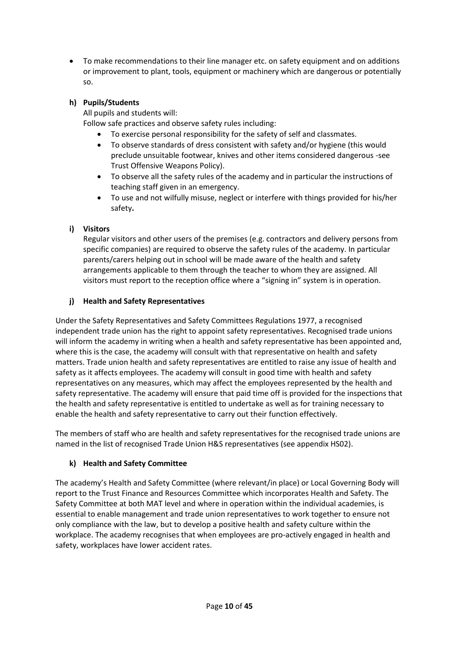• To make recommendations to their line manager etc. on safety equipment and on additions or improvement to plant, tools, equipment or machinery which are dangerous or potentially so.

# **h) Pupils/Students**

All pupils and students will:

Follow safe practices and observe safety rules including:

- To exercise personal responsibility for the safety of self and classmates.
- To observe standards of dress consistent with safety and/or hygiene (this would preclude unsuitable footwear, knives and other items considered dangerous -see Trust Offensive Weapons Policy).
- To observe all the safety rules of the academy and in particular the instructions of teaching staff given in an emergency.
- To use and not wilfully misuse, neglect or interfere with things provided for his/her safety**.**

# **i) Visitors**

Regular visitors and other users of the premises (e.g. contractors and delivery persons from specific companies) are required to observe the safety rules of the academy. In particular parents/carers helping out in school will be made aware of the health and safety arrangements applicable to them through the teacher to whom they are assigned. All visitors must report to the reception office where a "signing in" system is in operation.

## **j) Health and Safety Representatives**

Under the Safety Representatives and Safety Committees Regulations 1977, a recognised independent trade union has the right to appoint safety representatives. Recognised trade unions will inform the academy in writing when a health and safety representative has been appointed and, where this is the case, the academy will consult with that representative on health and safety matters. Trade union health and safety representatives are entitled to raise any issue of health and safety as it affects employees. The academy will consult in good time with health and safety representatives on any measures, which may affect the employees represented by the health and safety representative. The academy will ensure that paid time off is provided for the inspections that the health and safety representative is entitled to undertake as well as for training necessary to enable the health and safety representative to carry out their function effectively.

The members of staff who are health and safety representatives for the recognised trade unions are named in the list of recognised Trade Union H&S representatives (see appendix HS02).

# **k) Health and Safety Committee**

The academy's Health and Safety Committee (where relevant/in place) or Local Governing Body will report to the Trust Finance and Resources Committee which incorporates Health and Safety. The Safety Committee at both MAT level and where in operation within the individual academies, is essential to enable management and trade union representatives to work together to ensure not only compliance with the law, but to develop a positive health and safety culture within the workplace. The academy recognises that when employees are pro-actively engaged in health and safety, workplaces have lower accident rates.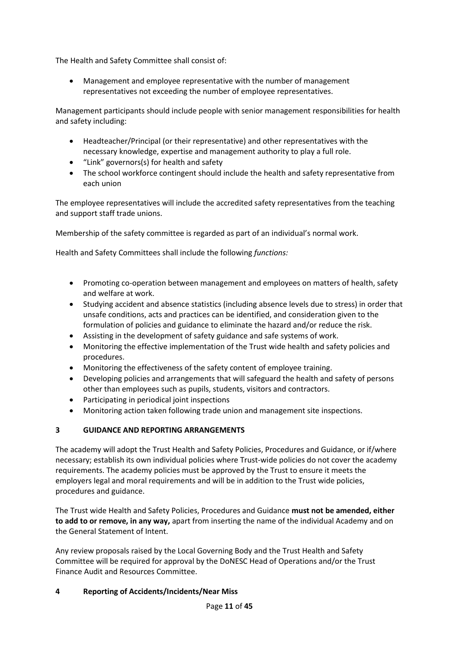The Health and Safety Committee shall consist of:

• Management and employee representative with the number of management representatives not exceeding the number of employee representatives.

Management participants should include people with senior management responsibilities for health and safety including:

- Headteacher/Principal (or their representative) and other representatives with the necessary knowledge, expertise and management authority to play a full role.
- "Link" governors(s) for health and safety
- The school workforce contingent should include the health and safety representative from each union

The employee representatives will include the accredited safety representatives from the teaching and support staff trade unions.

Membership of the safety committee is regarded as part of an individual's normal work.

Health and Safety Committees shall include the following *functions:*

- Promoting co-operation between management and employees on matters of health, safety and welfare at work.
- Studying accident and absence statistics (including absence levels due to stress) in order that unsafe conditions, acts and practices can be identified, and consideration given to the formulation of policies and guidance to eliminate the hazard and/or reduce the risk.
- Assisting in the development of safety guidance and safe systems of work.
- Monitoring the effective implementation of the Trust wide health and safety policies and procedures.
- Monitoring the effectiveness of the safety content of employee training.
- Developing policies and arrangements that will safeguard the health and safety of persons other than employees such as pupils, students, visitors and contractors.
- Participating in periodical joint inspections
- Monitoring action taken following trade union and management site inspections.

# **3 GUIDANCE AND REPORTING ARRANGEMENTS**

The academy will adopt the Trust Health and Safety Policies, Procedures and Guidance, or if/where necessary; establish its own individual policies where Trust-wide policies do not cover the academy requirements. The academy policies must be approved by the Trust to ensure it meets the employers legal and moral requirements and will be in addition to the Trust wide policies, procedures and guidance.

The Trust wide Health and Safety Policies, Procedures and Guidance **must not be amended, either to add to or remove, in any way,** apart from inserting the name of the individual Academy and on the General Statement of Intent.

Any review proposals raised by the Local Governing Body and the Trust Health and Safety Committee will be required for approval by the DoNESC Head of Operations and/or the Trust Finance Audit and Resources Committee.

## **4 Reporting of Accidents/Incidents/Near Miss**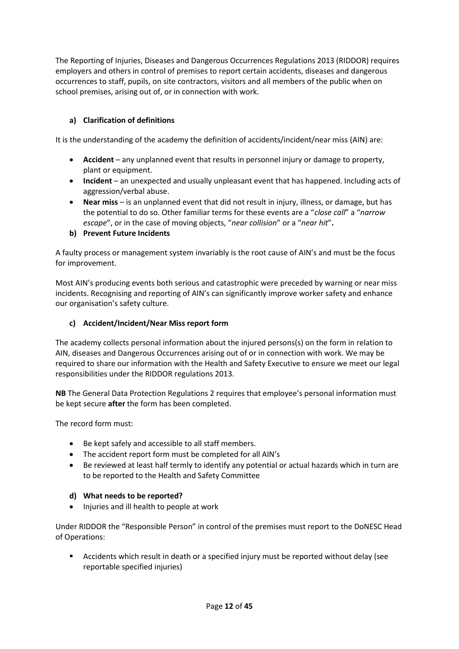The Reporting of Injuries, Diseases and Dangerous Occurrences Regulations 2013 (RIDDOR) requires employers and others in control of premises to report certain accidents, diseases and dangerous occurrences to staff, pupils, on site contractors, visitors and all members of the public when on school premises, arising out of, or in connection with work.

# **a) Clarification of definitions**

It is the understanding of the academy the definition of accidents/incident/near miss (AIN) are:

- **Accident** any unplanned event that results in personnel injury or damage to property, plant or equipment.
- **Incident** an unexpected and usually unpleasant event that has happened. Including acts of aggression/verbal abuse.
- **Near miss** is an unplanned event that did not result in injury, illness, or damage, but has the potential to do so. Other familiar terms for these events are a "*close call*" a "*narrow escape*", or in the case of moving objects, "*near collision*" or a "*near hit*"**.**

## **b) Prevent Future Incidents**

A faulty process or management system invariably is the root cause of AIN's and must be the focus for improvement.

Most AIN's producing events both serious and catastrophic were preceded by warning or near miss incidents. Recognising and reporting of AIN's can significantly improve worker safety and enhance our organisation's safety culture.

## **c) Accident/Incident/Near Miss report form**

The academy collects personal information about the injured persons(s) on the form in relation to AIN, diseases and Dangerous Occurrences arising out of or in connection with work. We may be required to share our information with the Health and Safety Executive to ensure we meet our legal responsibilities under the RIDDOR regulations 2013.

**NB** The General Data Protection Regulations 2 requires that employee's personal information must be kept secure **after** the form has been completed.

The record form must:

- Be kept safely and accessible to all staff members.
- The accident report form must be completed for all AIN's
- Be reviewed at least half termly to identify any potential or actual hazards which in turn are to be reported to the Health and Safety Committee

#### **d) What needs to be reported?**

• Injuries and ill health to people at work

Under RIDDOR the "Responsible Person" in control of the premises must report to the DoNESC Head of Operations:

Accidents which result in death or a specified injury must be reported without delay (see reportable specified injuries)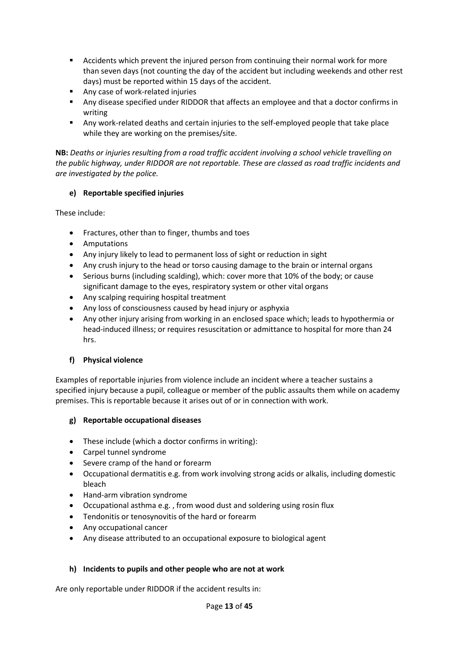- Accidents which prevent the injured person from continuing their normal work for more than seven days (not counting the day of the accident but including weekends and other rest days) must be reported within 15 days of the accident.
- Any case of work-related injuries
- **■** Any disease specified under RIDDOR that affects an employee and that a doctor confirms in writing
- Any work-related deaths and certain injuries to the self-employed people that take place while they are working on the premises/site.

**NB:** *Deaths or injuries resulting from a road traffic accident involving a school vehicle travelling on the public highway, under RIDDOR are not reportable. These are classed as road traffic incidents and are investigated by the police.*

## **e) Reportable specified injuries**

These include:

- Fractures, other than to finger, thumbs and toes
- Amputations
- Any injury likely to lead to permanent loss of sight or reduction in sight
- Any crush injury to the head or torso causing damage to the brain or internal organs
- Serious burns (including scalding), which: cover more that 10% of the body; or cause significant damage to the eyes, respiratory system or other vital organs
- Any scalping requiring hospital treatment
- Any loss of consciousness caused by head injury or asphyxia
- Any other injury arising from working in an enclosed space which; leads to hypothermia or head-induced illness; or requires resuscitation or admittance to hospital for more than 24 hrs.

## **f) Physical violence**

Examples of reportable injuries from violence include an incident where a teacher sustains a specified injury because a pupil, colleague or member of the public assaults them while on academy premises. This is reportable because it arises out of or in connection with work.

## **g) Reportable occupational diseases**

- These include (which a doctor confirms in writing):
- Carpel tunnel syndrome
- Severe cramp of the hand or forearm
- Occupational dermatitis e.g. from work involving strong acids or alkalis, including domestic bleach
- Hand-arm vibration syndrome
- Occupational asthma e.g. , from wood dust and soldering using rosin flux
- Tendonitis or tenosynovitis of the hard or forearm
- Any occupational cancer
- Any disease attributed to an occupational exposure to biological agent

## **h) Incidents to pupils and other people who are not at work**

Are only reportable under RIDDOR if the accident results in: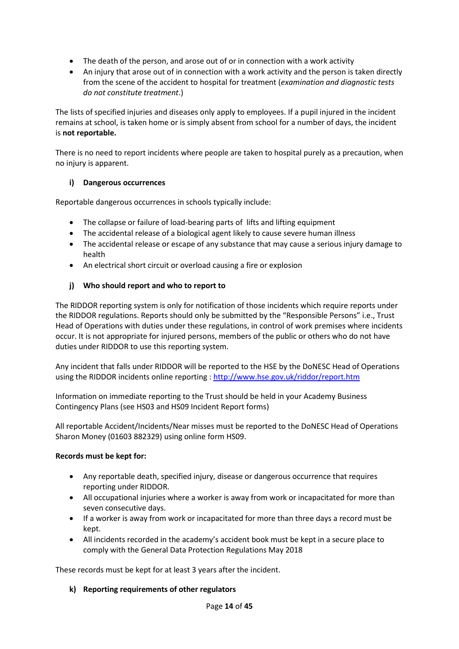- The death of the person, and arose out of or in connection with a work activity
- An injury that arose out of in connection with a work activity and the person is taken directly from the scene of the accident to hospital for treatment (*examination and diagnostic tests do not constitute treatment*.)

The lists of specified injuries and diseases only apply to employees. If a pupil injured in the incident remains at school, is taken home or is simply absent from school for a number of days, the incident is **not reportable.**

There is no need to report incidents where people are taken to hospital purely as a precaution, when no injury is apparent.

## **i) Dangerous occurrences**

Reportable dangerous occurrences in schools typically include:

- The collapse or failure of load-bearing parts of lifts and lifting equipment
- The accidental release of a biological agent likely to cause severe human illness
- The accidental release or escape of any substance that may cause a serious injury damage to health
- An electrical short circuit or overload causing a fire or explosion

# **j) Who should report and who to report to**

The RIDDOR reporting system is only for notification of those incidents which require reports under the RIDDOR regulations. Reports should only be submitted by the "Responsible Persons" i.e., Trust Head of Operations with duties under these regulations, in control of work premises where incidents occur. It is not appropriate for injured persons, members of the public or others who do not have duties under RIDDOR to use this reporting system.

Any incident that falls under RIDDOR will be reported to the HSE by the DoNESC Head of Operations using the RIDDOR incidents online reporting [: http://www.hse.gov.uk/riddor/report.htm](http://www.hse.gov.uk/riddor/report.htm)

Information on immediate reporting to the Trust should be held in your Academy Business Contingency Plans (see HS03 and HS09 Incident Report forms)

All reportable Accident/Incidents/Near misses must be reported to the DoNESC Head of Operations Sharon Money (01603 882329) using online form HS09.

## **Records must be kept for:**

- Any reportable death, specified injury, disease or dangerous occurrence that requires reporting under RIDDOR.
- All occupational injuries where a worker is away from work or incapacitated for more than seven consecutive days.
- If a worker is away from work or incapacitated for more than three days a record must be kept.
- All incidents recorded in the academy's accident book must be kept in a secure place to comply with the General Data Protection Regulations May 2018

These records must be kept for at least 3 years after the incident.

## **k) Reporting requirements of other regulators**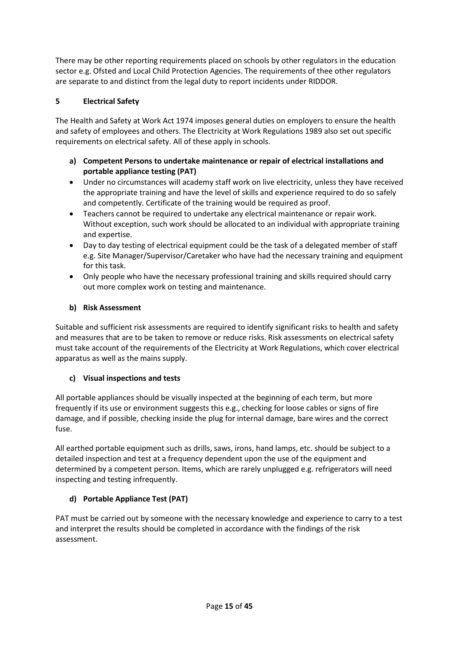There may be other reporting requirements placed on schools by other regulators in the education sector e.g. Ofsted and Local Child Protection Agencies. The requirements of thee other regulators are separate to and distinct from the legal duty to report incidents under RIDDOR.

# **5 Electrical Safety**

The Health and Safety at Work Act 1974 imposes general duties on employers to ensure the health and safety of employees and others. The Electricity at Work Regulations 1989 also set out specific requirements on electrical safety. All of these apply in schools.

- **a) Competent Persons to undertake maintenance or repair of electrical installations and portable appliance testing (PAT)**
- Under no circumstances will academy staff work on live electricity, unless they have received the appropriate training and have the level of skills and experience required to do so safely and competently. Certificate of the training would be required as proof.
- Teachers cannot be required to undertake any electrical maintenance or repair work. Without exception, such work should be allocated to an individual with appropriate training and expertise.
- Day to day testing of electrical equipment could be the task of a delegated member of staff e.g. Site Manager/Supervisor/Caretaker who have had the necessary training and equipment for this task.
- Only people who have the necessary professional training and skills required should carry out more complex work on testing and maintenance.

## **b) Risk Assessment**

Suitable and sufficient risk assessments are required to identify significant risks to health and safety and measures that are to be taken to remove or reduce risks. Risk assessments on electrical safety must take account of the requirements of the Electricity at Work Regulations, which cover electrical apparatus as well as the mains supply.

## **c) Visual inspections and tests**

All portable appliances should be visually inspected at the beginning of each term, but more frequently if its use or environment suggests this e.g., checking for loose cables or signs of fire damage, and if possible, checking inside the plug for internal damage, bare wires and the correct fuse.

All earthed portable equipment such as drills, saws, irons, hand lamps, etc. should be subject to a detailed inspection and test at a frequency dependent upon the use of the equipment and determined by a competent person. Items, which are rarely unplugged e.g. refrigerators will need inspecting and testing infrequently.

# **d) Portable Appliance Test (PAT)**

PAT must be carried out by someone with the necessary knowledge and experience to carry to a test and interpret the results should be completed in accordance with the findings of the risk assessment.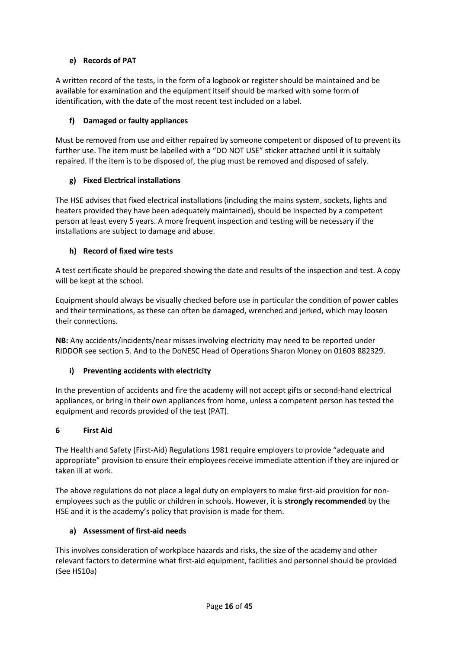# **e) Records of PAT**

A written record of the tests, in the form of a logbook or register should be maintained and be available for examination and the equipment itself should be marked with some form of identification, with the date of the most recent test included on a label.

## **f) Damaged or faulty appliances**

Must be removed from use and either repaired by someone competent or disposed of to prevent its further use. The item must be labelled with a "DO NOT USE" sticker attached until it is suitably repaired. If the item is to be disposed of, the plug must be removed and disposed of safely.

## **g) Fixed Electrical installations**

The HSE advises that fixed electrical installations (including the mains system, sockets, lights and heaters provided they have been adequately maintained), should be inspected by a competent person at least every 5 years. A more frequent inspection and testing will be necessary if the installations are subject to damage and abuse.

## **h) Record of fixed wire tests**

A test certificate should be prepared showing the date and results of the inspection and test. A copy will be kept at the school.

Equipment should always be visually checked before use in particular the condition of power cables and their terminations, as these can often be damaged, wrenched and jerked, which may loosen their connections.

**NB:** Any accidents/incidents/near misses involving electricity may need to be reported under RIDDOR see section 5. And to the DoNESC Head of Operations Sharon Money on 01603 882329.

# **i) Preventing accidents with electricity**

In the prevention of accidents and fire the academy will not accept gifts or second-hand electrical appliances, or bring in their own appliances from home, unless a competent person has tested the equipment and records provided of the test (PAT).

## **6 First Aid**

The Health and Safety (First-Aid) Regulations 1981 require employers to provide "adequate and appropriate" provision to ensure their employees receive immediate attention if they are injured or taken ill at work.

The above regulations do not place a legal duty on employers to make first-aid provision for nonemployees such as the public or children in schools. However, it is **strongly recommended** by the HSE and it is the academy's policy that provision is made for them.

## **a) Assessment of first-aid needs**

This involves consideration of workplace hazards and risks, the size of the academy and other relevant factors to determine what first-aid equipment, facilities and personnel should be provided (See HS10a)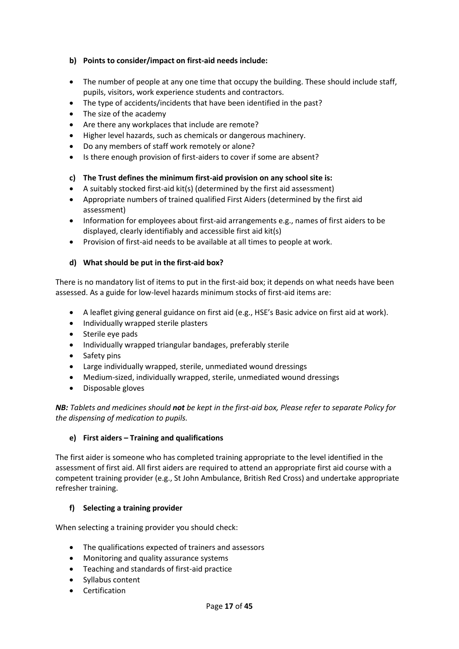## **b) Points to consider/impact on first-aid needs include:**

- The number of people at any one time that occupy the building. These should include staff, pupils, visitors, work experience students and contractors.
- The type of accidents/incidents that have been identified in the past?
- The size of the academy
- Are there any workplaces that include are remote?
- Higher level hazards, such as chemicals or dangerous machinery.
- Do any members of staff work remotely or alone?
- Is there enough provision of first-aiders to cover if some are absent?

## **c) The Trust defines the minimum first-aid provision on any school site is:**

- A suitably stocked first-aid kit(s) (determined by the first aid assessment)
- Appropriate numbers of trained qualified First Aiders (determined by the first aid assessment)
- Information for employees about first-aid arrangements e.g., names of first aiders to be displayed, clearly identifiably and accessible first aid kit(s)
- Provision of first-aid needs to be available at all times to people at work.

# **d) What should be put in the first-aid box?**

There is no mandatory list of items to put in the first-aid box; it depends on what needs have been assessed. As a guide for low-level hazards minimum stocks of first-aid items are:

- A leaflet giving general guidance on first aid (e.g., HSE's Basic advice on first aid at work).
- Individually wrapped sterile plasters
- Sterile eye pads
- Individually wrapped triangular bandages, preferably sterile
- Safety pins
- Large individually wrapped, sterile, unmediated wound dressings
- Medium-sized, individually wrapped, sterile, unmediated wound dressings
- Disposable gloves

*NB: Tablets and medicines should not be kept in the first-aid box, Please refer to separate Policy for the dispensing of medication to pupils.*

## **e) First aiders – Training and qualifications**

The first aider is someone who has completed training appropriate to the level identified in the assessment of first aid. All first aiders are required to attend an appropriate first aid course with a competent training provider (e.g., St John Ambulance, British Red Cross) and undertake appropriate refresher training.

## **f) Selecting a training provider**

When selecting a training provider you should check:

- The qualifications expected of trainers and assessors
- Monitoring and quality assurance systems
- Teaching and standards of first-aid practice
- Syllabus content
- Certification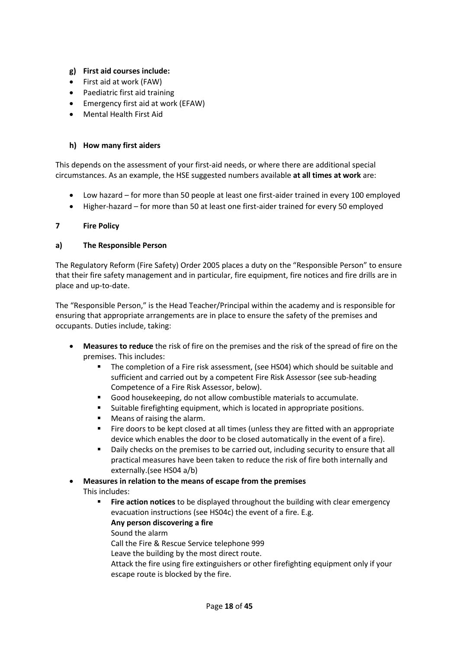## **g) First aid courses include:**

- First aid at work (FAW)
- Paediatric first aid training
- Emergency first aid at work (EFAW)
- Mental Health First Aid

#### **h) How many first aiders**

This depends on the assessment of your first-aid needs, or where there are additional special circumstances. As an example, the HSE suggested numbers available **at all times at work** are:

- Low hazard for more than 50 people at least one first-aider trained in every 100 employed
- Higher-hazard for more than 50 at least one first-aider trained for every 50 employed

#### **7 Fire Policy**

#### **a) The Responsible Person**

The Regulatory Reform (Fire Safety) Order 2005 places a duty on the "Responsible Person" to ensure that their fire safety management and in particular, fire equipment, fire notices and fire drills are in place and up-to-date.

The "Responsible Person," is the Head Teacher/Principal within the academy and is responsible for ensuring that appropriate arrangements are in place to ensure the safety of the premises and occupants. Duties include, taking:

- **Measures to reduce** the risk of fire on the premises and the risk of the spread of fire on the premises. This includes:
	- The completion of a Fire risk assessment, (see HS04) which should be suitable and sufficient and carried out by a competent Fire Risk Assessor (see sub-heading Competence of a Fire Risk Assessor, below).
	- Good housekeeping, do not allow combustible materials to accumulate.
	- Suitable firefighting equipment, which is located in appropriate positions.
	- Means of raising the alarm.
	- Fire doors to be kept closed at all times (unless they are fitted with an appropriate device which enables the door to be closed automatically in the event of a fire).
	- Daily checks on the premises to be carried out, including security to ensure that all practical measures have been taken to reduce the risk of fire both internally and externally.(see HS04 a/b)
- **Measures in relation to the means of escape from the premises** This includes:
	- Fire action notices to be displayed throughout the building with clear emergency evacuation instructions (see HS04c) the event of a fire. E.g.
		- **Any person discovering a fire**
		- Sound the alarm
		- Call the Fire & Rescue Service telephone 999
		- Leave the building by the most direct route.
		- Attack the fire using fire extinguishers or other firefighting equipment only if your escape route is blocked by the fire.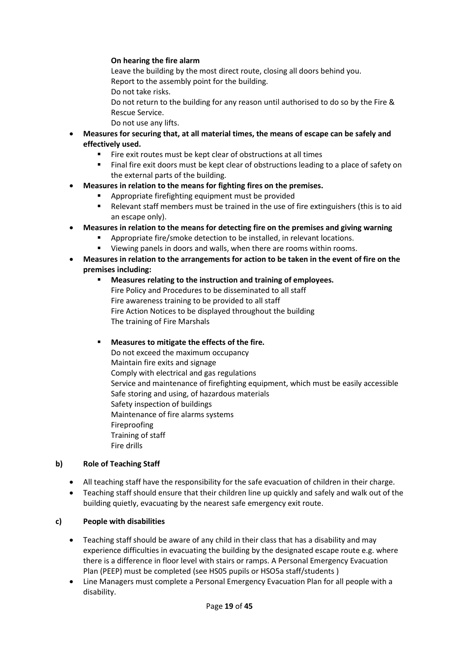#### **On hearing the fire alarm**

Leave the building by the most direct route, closing all doors behind you. Report to the assembly point for the building.

Do not take risks.

Do not return to the building for any reason until authorised to do so by the Fire & Rescue Service.

- Do not use any lifts.
- **Measures for securing that, at all material times, the means of escape can be safely and effectively used.**
	- Fire exit routes must be kept clear of obstructions at all times
	- Final fire exit doors must be kept clear of obstructions leading to a place of safety on the external parts of the building.
- **Measures in relation to the means for fighting fires on the premises.**
	- Appropriate firefighting equipment must be provided
	- Relevant staff members must be trained in the use of fire extinguishers (this is to aid an escape only).
- **Measures in relation to the means for detecting fire on the premises and giving warning**
	- Appropriate fire/smoke detection to be installed, in relevant locations.
	- Viewing panels in doors and walls, when there are rooms within rooms.
- **Measures in relation to the arrangements for action to be taken in the event of fire on the premises including:**
	- **Measures relating to the instruction and training of employees.** Fire Policy and Procedures to be disseminated to all staff Fire awareness training to be provided to all staff Fire Action Notices to be displayed throughout the building The training of Fire Marshals
	- **Measures to mitigate the effects of the fire.** Do not exceed the maximum occupancy Maintain fire exits and signage Comply with electrical and gas regulations Service and maintenance of firefighting equipment, which must be easily accessible Safe storing and using, of hazardous materials Safety inspection of buildings Maintenance of fire alarms systems Fireproofing Training of staff Fire drills

## **b) Role of Teaching Staff**

- All teaching staff have the responsibility for the safe evacuation of children in their charge.
- Teaching staff should ensure that their children line up quickly and safely and walk out of the building quietly, evacuating by the nearest safe emergency exit route.

## **c) People with disabilities**

- Teaching staff should be aware of any child in their class that has a disability and may experience difficulties in evacuating the building by the designated escape route e.g. where there is a difference in floor level with stairs or ramps. A Personal Emergency Evacuation Plan (PEEP) must be completed (see HS05 pupils or HSO5a staff/students )
- Line Managers must complete a Personal Emergency Evacuation Plan for all people with a disability.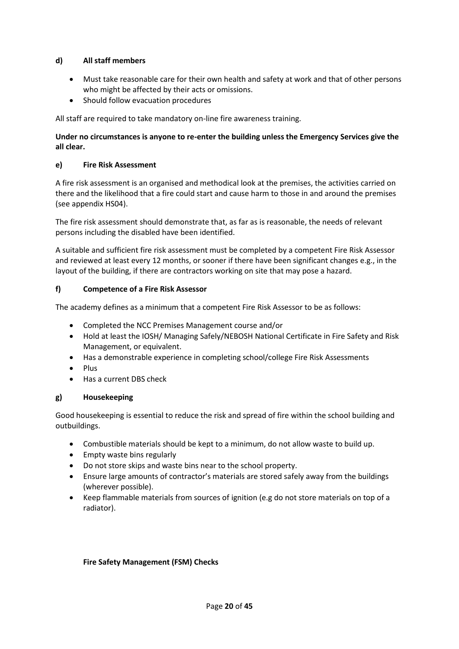## **d) All staff members**

- Must take reasonable care for their own health and safety at work and that of other persons who might be affected by their acts or omissions.
- Should follow evacuation procedures

All staff are required to take mandatory on-line fire awareness training.

## **Under no circumstances is anyone to re-enter the building unless the Emergency Services give the all clear.**

#### **e) Fire Risk Assessment**

A fire risk assessment is an organised and methodical look at the premises, the activities carried on there and the likelihood that a fire could start and cause harm to those in and around the premises (see appendix HS04).

The fire risk assessment should demonstrate that, as far as is reasonable, the needs of relevant persons including the disabled have been identified.

A suitable and sufficient fire risk assessment must be completed by a competent Fire Risk Assessor and reviewed at least every 12 months, or sooner if there have been significant changes e.g., in the layout of the building, if there are contractors working on site that may pose a hazard.

#### **f) Competence of a Fire Risk Assessor**

The academy defines as a minimum that a competent Fire Risk Assessor to be as follows:

- Completed the NCC Premises Management course and/or
- Hold at least the IOSH/ Managing Safely/NEBOSH National Certificate in Fire Safety and Risk Management, or equivalent.
- Has a demonstrable experience in completing school/college Fire Risk Assessments
- Plus
- Has a current DBS check

## **g) Housekeeping**

Good housekeeping is essential to reduce the risk and spread of fire within the school building and outbuildings.

- Combustible materials should be kept to a minimum, do not allow waste to build up.
- Empty waste bins regularly
- Do not store skips and waste bins near to the school property.
- Ensure large amounts of contractor's materials are stored safely away from the buildings (wherever possible).
- Keep flammable materials from sources of ignition (e.g do not store materials on top of a radiator).

#### **Fire Safety Management (FSM) Checks**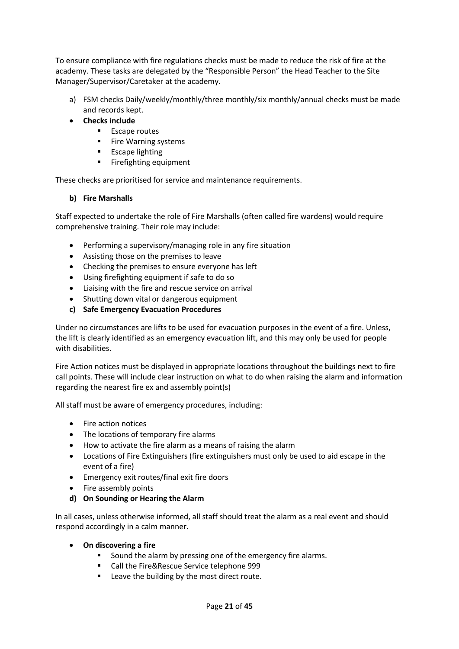To ensure compliance with fire regulations checks must be made to reduce the risk of fire at the academy. These tasks are delegated by the "Responsible Person" the Head Teacher to the Site Manager/Supervisor/Caretaker at the academy.

- a) FSM checks Daily/weekly/monthly/three monthly/six monthly/annual checks must be made and records kept.
- **Checks include**
	- Escape routes
	- Fire Warning systems
	- **Escape lighting**
	- Firefighting equipment

These checks are prioritised for service and maintenance requirements.

## **b) Fire Marshalls**

Staff expected to undertake the role of Fire Marshalls (often called fire wardens) would require comprehensive training. Their role may include:

- Performing a supervisory/managing role in any fire situation
- Assisting those on the premises to leave
- Checking the premises to ensure everyone has left
- Using firefighting equipment if safe to do so
- Liaising with the fire and rescue service on arrival
- Shutting down vital or dangerous equipment
- **c) Safe Emergency Evacuation Procedures**

Under no circumstances are lifts to be used for evacuation purposes in the event of a fire. Unless, the lift is clearly identified as an emergency evacuation lift, and this may only be used for people with disabilities.

Fire Action notices must be displayed in appropriate locations throughout the buildings next to fire call points. These will include clear instruction on what to do when raising the alarm and information regarding the nearest fire ex and assembly point(s)

All staff must be aware of emergency procedures, including:

- Fire action notices
- The locations of temporary fire alarms
- How to activate the fire alarm as a means of raising the alarm
- Locations of Fire Extinguishers (fire extinguishers must only be used to aid escape in the event of a fire)
- Emergency exit routes/final exit fire doors
- Fire assembly points
- **d) On Sounding or Hearing the Alarm**

In all cases, unless otherwise informed, all staff should treat the alarm as a real event and should respond accordingly in a calm manner.

- **On discovering a fire**
	- Sound the alarm by pressing one of the emergency fire alarms.
	- Call the Fire&Rescue Service telephone 999
	- Leave the building by the most direct route.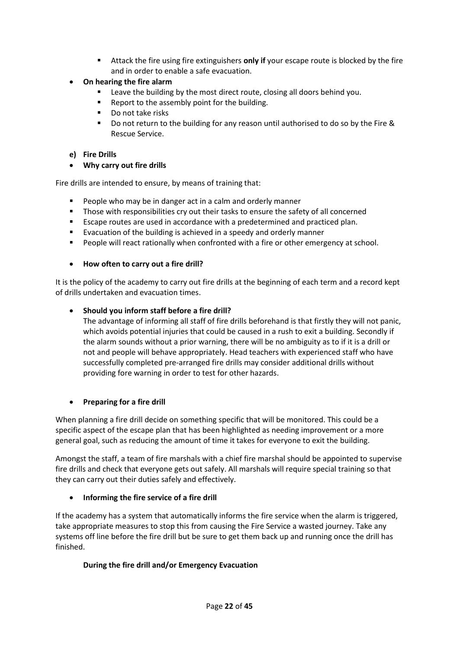- Attack the fire using fire extinguishers **only if** your escape route is blocked by the fire and in order to enable a safe evacuation.
- **On hearing the fire alarm**
	- Leave the building by the most direct route, closing all doors behind you.
	- Report to the assembly point for the building.
	- Do not take risks
	- Do not return to the building for any reason until authorised to do so by the Fire & Rescue Service.

#### **e) Fire Drills**

• **Why carry out fire drills**

Fire drills are intended to ensure, by means of training that:

- People who may be in danger act in a calm and orderly manner
- Those with responsibilities cry out their tasks to ensure the safety of all concerned
- Escape routes are used in accordance with a predetermined and practiced plan.
- Evacuation of the building is achieved in a speedy and orderly manner
- **•** People will react rationally when confronted with a fire or other emergency at school.

#### • **How often to carry out a fire drill?**

It is the policy of the academy to carry out fire drills at the beginning of each term and a record kept of drills undertaken and evacuation times.

#### • **Should you inform staff before a fire drill?**

The advantage of informing all staff of fire drills beforehand is that firstly they will not panic, which avoids potential injuries that could be caused in a rush to exit a building. Secondly if the alarm sounds without a prior warning, there will be no ambiguity as to if it is a drill or not and people will behave appropriately. Head teachers with experienced staff who have successfully completed pre-arranged fire drills may consider additional drills without providing fore warning in order to test for other hazards.

#### • **Preparing for a fire drill**

When planning a fire drill decide on something specific that will be monitored. This could be a specific aspect of the escape plan that has been highlighted as needing improvement or a more general goal, such as reducing the amount of time it takes for everyone to exit the building.

Amongst the staff, a team of fire marshals with a chief fire marshal should be appointed to supervise fire drills and check that everyone gets out safely. All marshals will require special training so that they can carry out their duties safely and effectively.

## • **Informing the fire service of a fire drill**

If the academy has a system that automatically informs the fire service when the alarm is triggered, take appropriate measures to stop this from causing the Fire Service a wasted journey. Take any systems off line before the fire drill but be sure to get them back up and running once the drill has finished.

## **During the fire drill and/or Emergency Evacuation**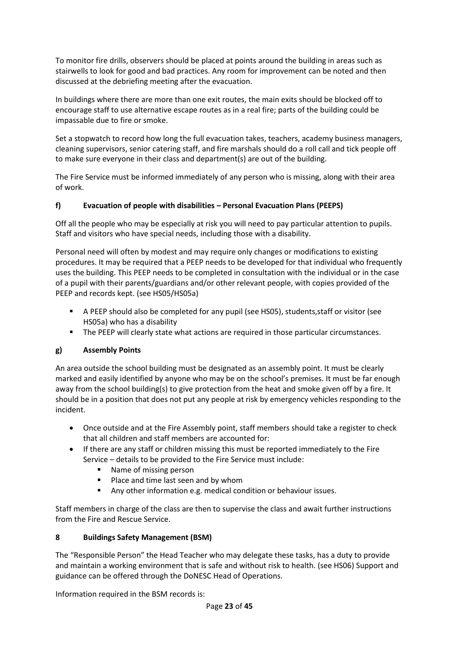To monitor fire drills, observers should be placed at points around the building in areas such as stairwells to look for good and bad practices. Any room for improvement can be noted and then discussed at the debriefing meeting after the evacuation.

In buildings where there are more than one exit routes, the main exits should be blocked off to encourage staff to use alternative escape routes as in a real fire; parts of the building could be impassable due to fire or smoke.

Set a stopwatch to record how long the full evacuation takes, teachers, academy business managers, cleaning supervisors, senior catering staff, and fire marshals should do a roll call and tick people off to make sure everyone in their class and department(s) are out of the building.

The Fire Service must be informed immediately of any person who is missing, along with their area of work.

## **f) Evacuation of people with disabilities – Personal Evacuation Plans (PEEPS)**

Off all the people who may be especially at risk you will need to pay particular attention to pupils. Staff and visitors who have special needs, including those with a disability.

Personal need will often by modest and may require only changes or modifications to existing procedures. It may be required that a PEEP needs to be developed for that individual who frequently uses the building. This PEEP needs to be completed in consultation with the individual or in the case of a pupil with their parents/guardians and/or other relevant people, with copies provided of the PEEP and records kept. (see HS05/HS05a)

- A PEEP should also be completed for any pupil (see HS05), students, staff or visitor (see HS05a) who has a disability
- The PEEP will clearly state what actions are required in those particular circumstances.

## **g) Assembly Points**

An area outside the school building must be designated as an assembly point. It must be clearly marked and easily identified by anyone who may be on the school's premises. It must be far enough away from the school building(s) to give protection from the heat and smoke given off by a fire. It should be in a position that does not put any people at risk by emergency vehicles responding to the incident.

- Once outside and at the Fire Assembly point, staff members should take a register to check that all children and staff members are accounted for:
- If there are any staff or children missing this must be reported immediately to the Fire Service – details to be provided to the Fire Service must include:
	- Name of missing person
	- Place and time last seen and by whom
	- Any other information e.g. medical condition or behaviour issues.

Staff members in charge of the class are then to supervise the class and await further instructions from the Fire and Rescue Service.

## **8 Buildings Safety Management (BSM)**

The "Responsible Person" the Head Teacher who may delegate these tasks, has a duty to provide and maintain a working environment that is safe and without risk to health. (see HS06) Support and guidance can be offered through the DoNESC Head of Operations.

Information required in the BSM records is: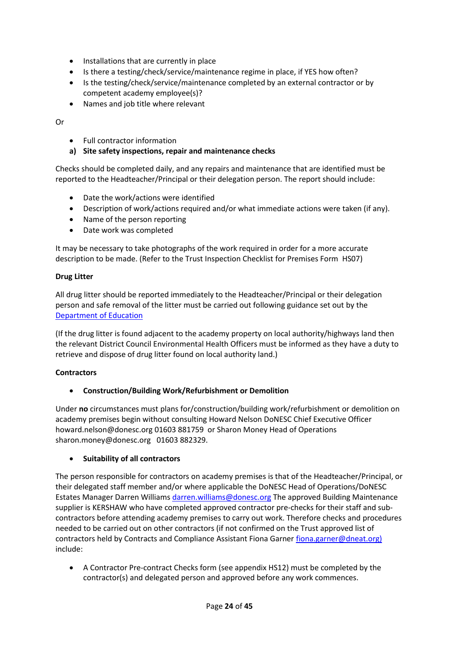- Installations that are currently in place
- Is there a testing/check/service/maintenance regime in place, if YES how often?
- Is the testing/check/service/maintenance completed by an external contractor or by competent academy employee(s)?
- Names and job title where relevant

Or

- Full contractor information
- **a) Site safety inspections, repair and maintenance checks**

Checks should be completed daily, and any repairs and maintenance that are identified must be reported to the Headteacher/Principal or their delegation person. The report should include:

- Date the work/actions were identified
- Description of work/actions required and/or what immediate actions were taken (if any).
- Name of the person reporting
- Date work was completed

It may be necessary to take photographs of the work required in order for a more accurate description to be made. (Refer to the Trust Inspection Checklist for Premises Form HS07)

#### **Drug Litter**

All drug litter should be reported immediately to the Headteacher/Principal or their delegation person and safe removal of the litter must be carried out following guidance set out by the [Department of Education](https://assets.publishing.service.gov.uk/government/uploads/system/uploads/attachment_data/file/221089/pb10970-drugrelatedlitter.pdf)

(If the drug litter is found adjacent to the academy property on local authority/highways land then the relevant District Council Environmental Health Officers must be informed as they have a duty to retrieve and dispose of drug litter found on local authority land.)

#### **Contractors**

• **Construction/Building Work/Refurbishment or Demolition**

Under **no** circumstances must plans for/construction/building work/refurbishment or demolition on academy premises begin without consulting Howard Nelson DoNESC Chief Executive Officer howard.nelson@donesc.org 01603 881759 or Sharon Money Head of Operations sharon.money@donesc.org 01603 882329.

#### • **Suitability of all contractors**

The person responsible for contractors on academy premises is that of the Headteacher/Principal, or their delegated staff member and/or where applicable the DoNESC Head of Operations/DoNESC Estates Manager Darren William[s darren.williams@donesc.org](mailto:darren.williams@donesc.org) The approved Building Maintenance supplier is KERSHAW who have completed approved contractor pre-checks for their staff and subcontractors before attending academy premises to carry out work. Therefore checks and procedures needed to be carried out on other contractors (if not confirmed on the Trust approved list of contractors held by Contracts and Compliance Assistant Fiona Garner fiona garner@dneat.org) include:

• A Contractor Pre-contract Checks form (see appendix HS12) must be completed by the contractor(s) and delegated person and approved before any work commences.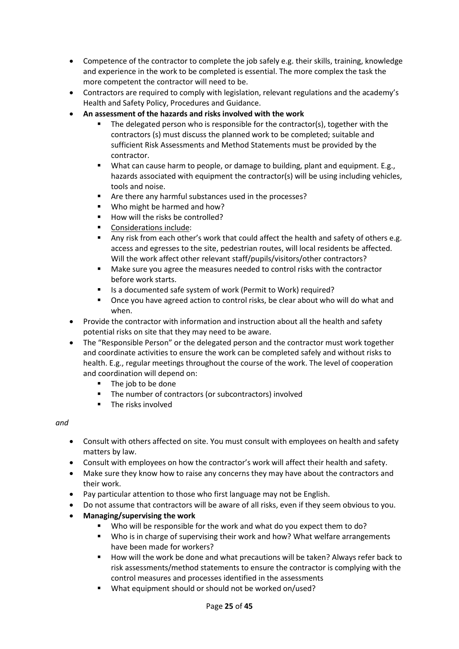- Competence of the contractor to complete the job safely e.g. their skills, training, knowledge and experience in the work to be completed is essential. The more complex the task the more competent the contractor will need to be.
- Contractors are required to comply with legislation, relevant regulations and the academy's Health and Safety Policy, Procedures and Guidance.
- **An assessment of the hazards and risks involved with the work**
	- The delegated person who is responsible for the contractor(s), together with the contractors (s) must discuss the planned work to be completed; suitable and sufficient Risk Assessments and Method Statements must be provided by the contractor.
	- What can cause harm to people, or damage to building, plant and equipment. E.g., hazards associated with equipment the contractor(s) will be using including vehicles, tools and noise.
	- Are there any harmful substances used in the processes?
	- Who might be harmed and how?
	- How will the risks be controlled?
	- Considerations include:
	- Any risk from each other's work that could affect the health and safety of others e.g. access and egresses to the site, pedestrian routes, will local residents be affected. Will the work affect other relevant staff/pupils/visitors/other contractors?
	- Make sure you agree the measures needed to control risks with the contractor before work starts.
	- Is a documented safe system of work (Permit to Work) required?
	- Once you have agreed action to control risks, be clear about who will do what and when.
- Provide the contractor with information and instruction about all the health and safety potential risks on site that they may need to be aware.
- The "Responsible Person" or the delegated person and the contractor must work together and coordinate activities to ensure the work can be completed safely and without risks to health. E.g., regular meetings throughout the course of the work. The level of cooperation and coordination will depend on:
	- The job to be done
	- The number of contractors (or subcontractors) involved
	- The risks involved

#### *and*

- Consult with others affected on site. You must consult with employees on health and safety matters by law.
- Consult with employees on how the contractor's work will affect their health and safety.
- Make sure they know how to raise any concerns they may have about the contractors and their work.
- Pay particular attention to those who first language may not be English.
- Do not assume that contractors will be aware of all risks, even if they seem obvious to you.
- **Managing/supervising the work**
	- Who will be responsible for the work and what do you expect them to do?
	- Who is in charge of supervising their work and how? What welfare arrangements have been made for workers?
	- How will the work be done and what precautions will be taken? Always refer back to risk assessments/method statements to ensure the contractor is complying with the control measures and processes identified in the assessments
	- What equipment should or should not be worked on/used?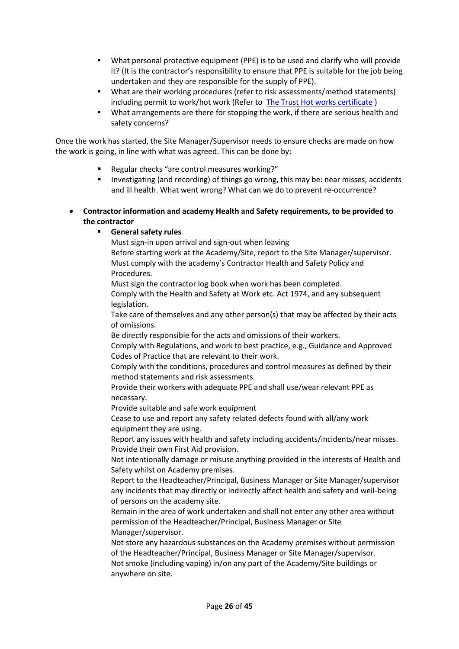- What personal protective equipment (PPE) is to be used and clarify who will provide it? (It is the contractor's responsibility to ensure that PPE is suitable for the job being undertaken and they are responsible for the supply of PPE).
- What are their working procedures (refer to risk assessments/method statements) including permit to work/hot work (Refer to The Trust [Hot works certificate](http://www.dneat.org/dneat-academy-procedures))
- What arrangements are there for stopping the work, if there are serious health and safety concerns?

Once the work has started, the Site Manager/Supervisor needs to ensure checks are made on how the work is going, in line with what was agreed. This can be done by:

- Regular checks "are control measures working?"
- Investigating (and recording) of things go wrong, this may be: near misses, accidents and ill health. What went wrong? What can we do to prevent re-occurrence?
- **Contractor information and academy Health and Safety requirements, to be provided to the contractor**
	- **General safety rules**

Must sign-in upon arrival and sign-out when leaving

Before starting work at the Academy/Site, report to the Site Manager/supervisor. Must comply with the academy's Contractor Health and Safety Policy and Procedures.

Must sign the contractor log book when work has been completed.

Comply with the Health and Safety at Work etc. Act 1974, and any subsequent legislation.

Take care of themselves and any other person(s) that may be affected by their acts of omissions.

Be directly responsible for the acts and omissions of their workers.

Comply with Regulations, and work to best practice, e.g., Guidance and Approved Codes of Practice that are relevant to their work.

Comply with the conditions, procedures and control measures as defined by their method statements and risk assessments.

Provide their workers with adequate PPE and shall use/wear relevant PPE as necessary.

Provide suitable and safe work equipment

Cease to use and report any safety related defects found with all/any work equipment they are using.

Report any issues with health and safety including accidents/incidents/near misses. Provide their own First Aid provision.

Not intentionally damage or misuse anything provided in the interests of Health and Safety whilst on Academy premises.

Report to the Headteacher/Principal, Business Manager or Site Manager/supervisor any incidents that may directly or indirectly affect health and safety and well-being of persons on the academy site.

Remain in the area of work undertaken and shall not enter any other area without permission of the Headteacher/Principal, Business Manager or Site Manager/supervisor.

Not store any hazardous substances on the Academy premises without permission of the Headteacher/Principal, Business Manager or Site Manager/supervisor. Not smoke (including vaping) in/on any part of the Academy/Site buildings or anywhere on site.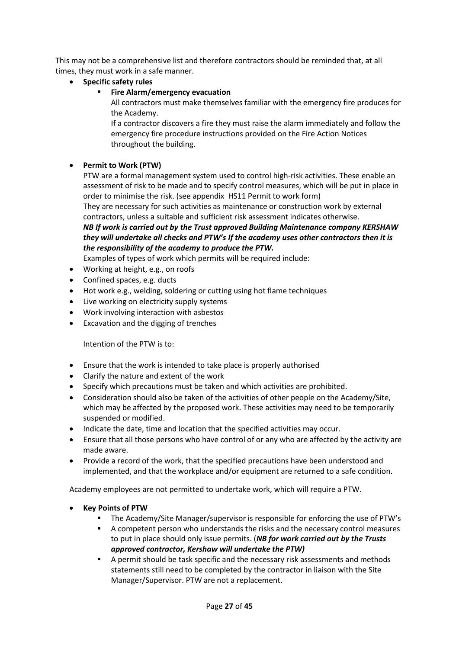This may not be a comprehensive list and therefore contractors should be reminded that, at all times, they must work in a safe manner.

- **Specific safety rules**
	- **Fire Alarm/emergency evacuation**

All contractors must make themselves familiar with the emergency fire produces for the Academy.

If a contractor discovers a fire they must raise the alarm immediately and follow the emergency fire procedure instructions provided on the Fire Action Notices throughout the building.

# • **Permit to Work (PTW)**

PTW are a formal management system used to control high-risk activities. These enable an assessment of risk to be made and to specify control measures, which will be put in place in order to minimise the risk. (see appendix HS11 Permit to work form)

They are necessary for such activities as maintenance or construction work by external contractors, unless a suitable and sufficient risk assessment indicates otherwise.

*NB If work is carried out by the Trust approved Building Maintenance company KERSHAW they will undertake all checks and PTW's If the academy uses other contractors then it is the responsibility of the academy to produce the PTW.*

Examples of types of work which permits will be required include:

- Working at height, e.g., on roofs
- Confined spaces, e.g. ducts
- Hot work e.g., welding, soldering or cutting using hot flame techniques
- Live working on electricity supply systems
- Work involving interaction with asbestos
- Excavation and the digging of trenches

Intention of the PTW is to:

- Ensure that the work is intended to take place is properly authorised
- Clarify the nature and extent of the work
- Specify which precautions must be taken and which activities are prohibited.
- Consideration should also be taken of the activities of other people on the Academy/Site, which may be affected by the proposed work. These activities may need to be temporarily suspended or modified.
- Indicate the date, time and location that the specified activities may occur.
- Ensure that all those persons who have control of or any who are affected by the activity are made aware.
- Provide a record of the work, that the specified precautions have been understood and implemented, and that the workplace and/or equipment are returned to a safe condition.

Academy employees are not permitted to undertake work, which will require a PTW.

- **Key Points of PTW**
	- The Academy/Site Manager/supervisor is responsible for enforcing the use of PTW's
	- A competent person who understands the risks and the necessary control measures to put in place should only issue permits. (*NB for work carried out by the Trusts approved contractor, Kershaw will undertake the PTW)*
	- A permit should be task specific and the necessary risk assessments and methods statements still need to be completed by the contractor in liaison with the Site Manager/Supervisor. PTW are not a replacement.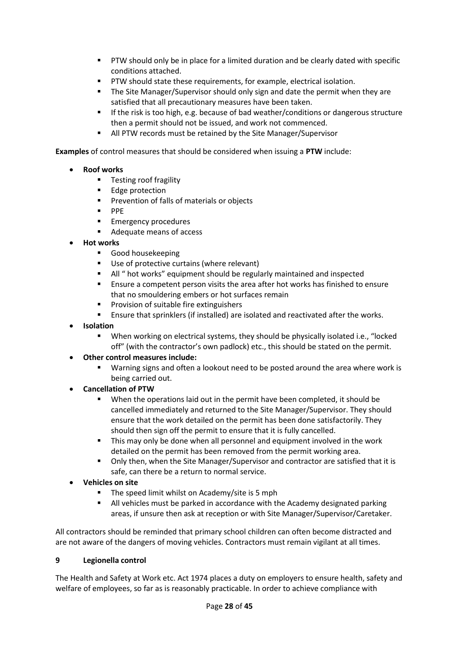- **PTW should only be in place for a limited duration and be clearly dated with specific** conditions attached.
- PTW should state these requirements, for example, electrical isolation.
- **•** The Site Manager/Supervisor should only sign and date the permit when they are satisfied that all precautionary measures have been taken.
- **■** If the risk is too high, e.g. because of bad weather/conditions or dangerous structure then a permit should not be issued, and work not commenced.
- All PTW records must be retained by the Site Manager/Supervisor

**Examples** of control measures that should be considered when issuing a **PTW** include:

- **Roof works**
	- Testing roof fragility
	- Edge protection
	- Prevention of falls of materials or objects
	- PPE
	- **Emergency procedures**
	- Adequate means of access
- **Hot works**
	- Good housekeeping
	- Use of protective curtains (where relevant)
	- All " hot works" equipment should be regularly maintained and inspected
	- Ensure a competent person visits the area after hot works has finished to ensure that no smouldering embers or hot surfaces remain
	- Provision of suitable fire extinguishers
	- Ensure that sprinklers (if installed) are isolated and reactivated after the works.
- **Isolation**
	- When working on electrical systems, they should be physically isolated i.e., "locked off" (with the contractor's own padlock) etc., this should be stated on the permit.
- **Other control measures include:**
	- Warning signs and often a lookout need to be posted around the area where work is being carried out.
- **Cancellation of PTW**
	- When the operations laid out in the permit have been completed, it should be cancelled immediately and returned to the Site Manager/Supervisor. They should ensure that the work detailed on the permit has been done satisfactorily. They should then sign off the permit to ensure that it is fully cancelled.
	- **.** This may only be done when all personnel and equipment involved in the work detailed on the permit has been removed from the permit working area.
	- Only then, when the Site Manager/Supervisor and contractor are satisfied that it is safe, can there be a return to normal service.
- **Vehicles on site**
	- The speed limit whilst on Academy/site is 5 mph
	- All vehicles must be parked in accordance with the Academy designated parking areas, if unsure then ask at reception or with Site Manager/Supervisor/Caretaker.

All contractors should be reminded that primary school children can often become distracted and are not aware of the dangers of moving vehicles. Contractors must remain vigilant at all times.

## **9 Legionella control**

The Health and Safety at Work etc. Act 1974 places a duty on employers to ensure health, safety and welfare of employees, so far as is reasonably practicable. In order to achieve compliance with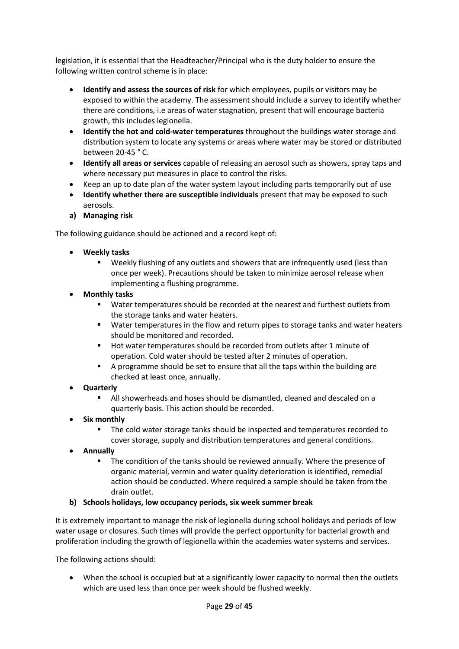legislation, it is essential that the Headteacher/Principal who is the duty holder to ensure the following written control scheme is in place:

- **Identify and assess the sources of risk** for which employees, pupils or visitors may be exposed to within the academy. The assessment should include a survey to identify whether there are conditions, i.e areas of water stagnation, present that will encourage bacteria growth, this includes legionella.
- **Identify the hot and cold-water temperatures** throughout the buildings water storage and distribution system to locate any systems or areas where water may be stored or distributed between 20-45 ° C.
- **Identify all areas or services** capable of releasing an aerosol such as showers, spray taps and where necessary put measures in place to control the risks.
- Keep an up to date plan of the water system layout including parts temporarily out of use
- **Identify whether there are susceptible individuals** present that may be exposed to such aerosols.
- **a) Managing risk**

The following guidance should be actioned and a record kept of:

- **Weekly tasks**
	- Weekly flushing of any outlets and showers that are infrequently used (less than once per week). Precautions should be taken to minimize aerosol release when implementing a flushing programme.
- **Monthly tasks**
	- Water temperatures should be recorded at the nearest and furthest outlets from the storage tanks and water heaters.
	- Water temperatures in the flow and return pipes to storage tanks and water heaters should be monitored and recorded.
	- Hot water temperatures should be recorded from outlets after 1 minute of operation. Cold water should be tested after 2 minutes of operation.
	- A programme should be set to ensure that all the taps within the building are checked at least once, annually.
- **Quarterly**
	- All showerheads and hoses should be dismantled, cleaned and descaled on a quarterly basis. This action should be recorded.
- **Six monthly**
	- The cold water storage tanks should be inspected and temperatures recorded to cover storage, supply and distribution temperatures and general conditions.
- **Annually**
	- The condition of the tanks should be reviewed annually. Where the presence of organic material, vermin and water quality deterioration is identified, remedial action should be conducted. Where required a sample should be taken from the drain outlet.
- **b) Schools holidays, low occupancy periods, six week summer break**

It is extremely important to manage the risk of legionella during school holidays and periods of low water usage or closures. Such times will provide the perfect opportunity for bacterial growth and proliferation including the growth of legionella within the academies water systems and services.

The following actions should:

When the school is occupied but at a significantly lower capacity to normal then the outlets which are used less than once per week should be flushed weekly.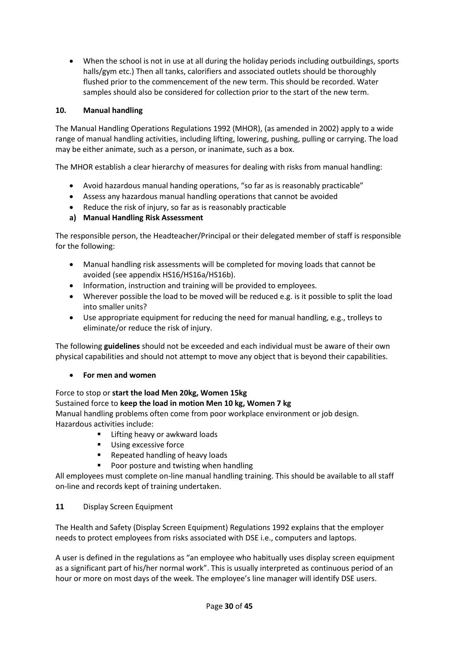• When the school is not in use at all during the holiday periods including outbuildings, sports halls/gym etc.) Then all tanks, calorifiers and associated outlets should be thoroughly flushed prior to the commencement of the new term. This should be recorded. Water samples should also be considered for collection prior to the start of the new term.

## **10. Manual handling**

The Manual Handling Operations Regulations 1992 (MHOR), (as amended in 2002) apply to a wide range of manual handling activities, including lifting, lowering, pushing, pulling or carrying. The load may be either animate, such as a person, or inanimate, such as a box.

The MHOR establish a clear hierarchy of measures for dealing with risks from manual handling:

- Avoid hazardous manual handing operations, "so far as is reasonably practicable"
- Assess any hazardous manual handling operations that cannot be avoided
- Reduce the risk of injury, so far as is reasonably practicable
- **a) Manual Handling Risk Assessment**

The responsible person, the Headteacher/Principal or their delegated member of staff is responsible for the following:

- Manual handling risk assessments will be completed for moving loads that cannot be avoided (see appendix HS16/HS16a/HS16b).
- Information, instruction and training will be provided to employees.
- Wherever possible the load to be moved will be reduced e.g. is it possible to split the load into smaller units?
- Use appropriate equipment for reducing the need for manual handling, e.g., trolleys to eliminate/or reduce the risk of injury.

The following **guidelines** should not be exceeded and each individual must be aware of their own physical capabilities and should not attempt to move any object that is beyond their capabilities.

• **For men and women**

## Force to stop or **start the load Men 20kg, Women 15kg**

## Sustained force to **keep the load in motion Men 10 kg, Women 7 kg**

Manual handling problems often come from poor workplace environment or job design. Hazardous activities include:

- Lifting heavy or awkward loads
- Using excessive force
- Repeated handling of heavy loads
- Poor posture and twisting when handling

All employees must complete on-line manual handling training. This should be available to all staff on-line and records kept of training undertaken.

## **11** Display Screen Equipment

The Health and Safety (Display Screen Equipment) Regulations 1992 explains that the employer needs to protect employees from risks associated with DSE i.e., computers and laptops.

A user is defined in the regulations as "an employee who habitually uses display screen equipment as a significant part of his/her normal work". This is usually interpreted as continuous period of an hour or more on most days of the week. The employee's line manager will identify DSE users.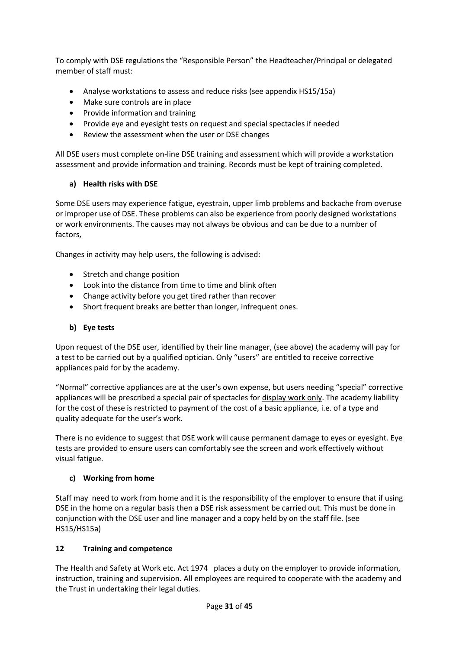To comply with DSE regulations the "Responsible Person" the Headteacher/Principal or delegated member of staff must:

- Analyse workstations to assess and reduce risks (see appendix HS15/15a)
- Make sure controls are in place
- Provide information and training
- Provide eye and eyesight tests on request and special spectacles if needed
- Review the assessment when the user or DSE changes

All DSE users must complete on-line DSE training and assessment which will provide a workstation assessment and provide information and training. Records must be kept of training completed.

# **a) Health risks with DSE**

Some DSE users may experience fatigue, eyestrain, upper limb problems and backache from overuse or improper use of DSE. These problems can also be experience from poorly designed workstations or work environments. The causes may not always be obvious and can be due to a number of factors,

Changes in activity may help users, the following is advised:

- Stretch and change position
- Look into the distance from time to time and blink often
- Change activity before you get tired rather than recover
- Short frequent breaks are better than longer, infrequent ones.

# **b) Eye tests**

Upon request of the DSE user, identified by their line manager, (see above) the academy will pay for a test to be carried out by a qualified optician. Only "users" are entitled to receive corrective appliances paid for by the academy.

"Normal" corrective appliances are at the user's own expense, but users needing "special" corrective appliances will be prescribed a special pair of spectacles for display work only. The academy liability for the cost of these is restricted to payment of the cost of a basic appliance, i.e. of a type and quality adequate for the user's work.

There is no evidence to suggest that DSE work will cause permanent damage to eyes or eyesight. Eye tests are provided to ensure users can comfortably see the screen and work effectively without visual fatigue.

# **c) Working from home**

Staff may need to work from home and it is the responsibility of the employer to ensure that if using DSE in the home on a regular basis then a DSE risk assessment be carried out. This must be done in conjunction with the DSE user and line manager and a copy held by on the staff file. (see HS15/HS15a)

# **12 Training and competence**

The Health and Safety at Work etc. Act 1974 places a duty on the employer to provide information, instruction, training and supervision. All employees are required to cooperate with the academy and the Trust in undertaking their legal duties.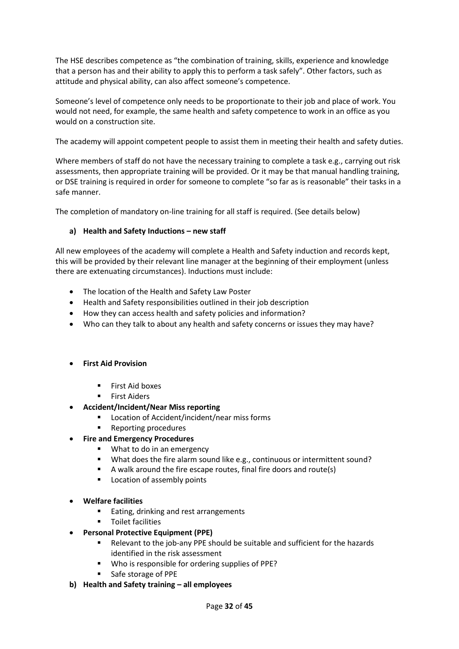The HSE describes competence as "the combination of training, skills, experience and knowledge that a person has and their ability to apply this to perform a task safely". Other factors, such as attitude and physical ability, can also affect someone's competence.

Someone's level of competence only needs to be proportionate to their job and place of work. You would not need, for example, the same health and safety competence to work in an office as you would on a construction site.

The academy will appoint competent people to assist them in meeting their health and safety duties.

Where members of staff do not have the necessary training to complete a task e.g., carrying out risk assessments, then appropriate training will be provided. Or it may be that manual handling training, or DSE training is required in order for someone to complete "so far as is reasonable" their tasks in a safe manner.

The completion of mandatory on-line training for all staff is required. (See details below)

#### **a) Health and Safety Inductions – new staff**

All new employees of the academy will complete a Health and Safety induction and records kept, this will be provided by their relevant line manager at the beginning of their employment (unless there are extenuating circumstances). Inductions must include:

- The location of the Health and Safety Law Poster
- Health and Safety responsibilities outlined in their job description
- How they can access health and safety policies and information?
- Who can they talk to about any health and safety concerns or issues they may have?

#### • **First Aid Provision**

- First Aid boxes
- First Aiders
- **Accident/Incident/Near Miss reporting**
	- Location of Accident/incident/near miss forms
	- Reporting procedures
- **Fire and Emergency Procedures**
	- What to do in an emergency
	- What does the fire alarm sound like e.g., continuous or intermittent sound?
	- A walk around the fire escape routes, final fire doors and route(s)
	- Location of assembly points
- **Welfare facilities**
	- Eating, drinking and rest arrangements
	- Toilet facilities
- **Personal Protective Equipment (PPE)**
	- Relevant to the job-any PPE should be suitable and sufficient for the hazards identified in the risk assessment
	- Who is responsible for ordering supplies of PPE?
	- Safe storage of PPE
- **b) Health and Safety training – all employees**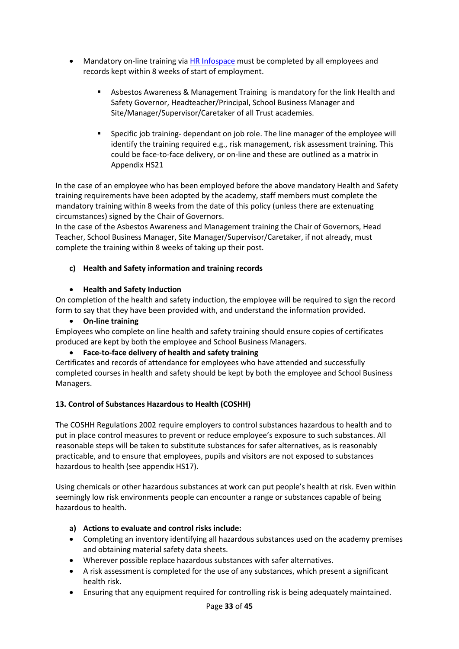- Mandatory on-line training vi[a HR Infospace](https://www.infospace.org.uk/hr/) must be completed by all employees and records kept within 8 weeks of start of employment.
	- Asbestos Awareness & Management Training is mandatory for the link Health and Safety Governor, Headteacher/Principal, School Business Manager and Site/Manager/Supervisor/Caretaker of all Trust academies.
	- Specific job training- dependant on job role. The line manager of the employee will identify the training required e.g., risk management, risk assessment training. This could be face-to-face delivery, or on-line and these are outlined as a matrix in Appendix HS21

In the case of an employee who has been employed before the above mandatory Health and Safety training requirements have been adopted by the academy, staff members must complete the mandatory training within 8 weeks from the date of this policy (unless there are extenuating circumstances) signed by the Chair of Governors.

In the case of the Asbestos Awareness and Management training the Chair of Governors, Head Teacher, School Business Manager, Site Manager/Supervisor/Caretaker, if not already, must complete the training within 8 weeks of taking up their post.

# **c) Health and Safety information and training records**

## • **Health and Safety Induction**

On completion of the health and safety induction, the employee will be required to sign the record form to say that they have been provided with, and understand the information provided.

• **On-line training**

Employees who complete on line health and safety training should ensure copies of certificates produced are kept by both the employee and School Business Managers.

• **Face-to-face delivery of health and safety training**

Certificates and records of attendance for employees who have attended and successfully completed courses in health and safety should be kept by both the employee and School Business Managers.

# **13. Control of Substances Hazardous to Health (COSHH)**

The COSHH Regulations 2002 require employers to control substances hazardous to health and to put in place control measures to prevent or reduce employee's exposure to such substances. All reasonable steps will be taken to substitute substances for safer alternatives, as is reasonably practicable, and to ensure that employees, pupils and visitors are not exposed to substances hazardous to health (see appendix HS17).

Using chemicals or other hazardous substances at work can put people's health at risk. Even within seemingly low risk environments people can encounter a range or substances capable of being hazardous to health.

## **a) Actions to evaluate and control risks include:**

- Completing an inventory identifying all hazardous substances used on the academy premises and obtaining material safety data sheets.
- Wherever possible replace hazardous substances with safer alternatives.
- A risk assessment is completed for the use of any substances, which present a significant health risk.
- Ensuring that any equipment required for controlling risk is being adequately maintained.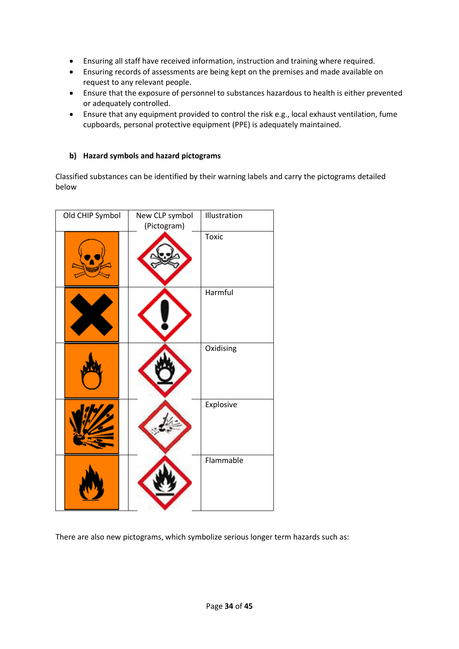- Ensuring all staff have received information, instruction and training where required.
- Ensuring records of assessments are being kept on the premises and made available on request to any relevant people.
- Ensure that the exposure of personnel to substances hazardous to health is either prevented or adequately controlled.
- Ensure that any equipment provided to control the risk e.g., local exhaust ventilation, fume cupboards, personal protective equipment (PPE) is adequately maintained.

## **b) Hazard symbols and hazard pictograms**

Classified substances can be identified by their warning labels and carry the pictograms detailed below

| Old CHIP Symbol | New CLP symbol<br>(Pictogram) | Illustration |
|-----------------|-------------------------------|--------------|
|                 |                               | <b>Toxic</b> |
|                 |                               | Harmful      |
|                 |                               | Oxidising    |
|                 |                               | Explosive    |
|                 |                               | Flammable    |

There are also new pictograms, which symbolize serious longer term hazards such as: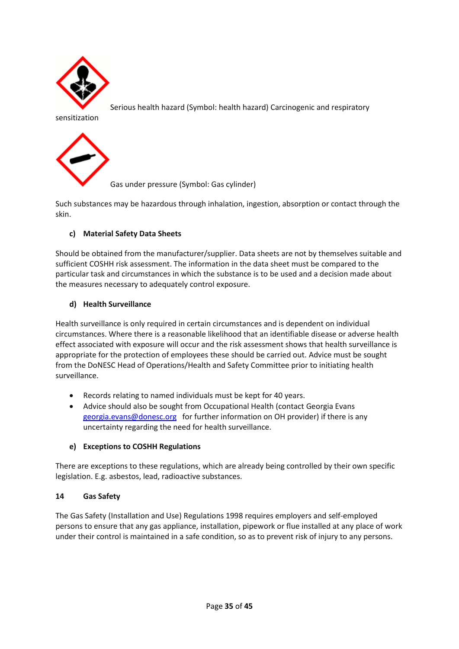

Serious health hazard (Symbol: health hazard) Carcinogenic and respiratory

sensitization



Gas under pressure (Symbol: Gas cylinder)

Such substances may be hazardous through inhalation, ingestion, absorption or contact through the skin.

## **c) Material Safety Data Sheets**

Should be obtained from the manufacturer/supplier. Data sheets are not by themselves suitable and sufficient COSHH risk assessment. The information in the data sheet must be compared to the particular task and circumstances in which the substance is to be used and a decision made about the measures necessary to adequately control exposure.

#### **d) Health Surveillance**

Health surveillance is only required in certain circumstances and is dependent on individual circumstances. Where there is a reasonable likelihood that an identifiable disease or adverse health effect associated with exposure will occur and the risk assessment shows that health surveillance is appropriate for the protection of employees these should be carried out. Advice must be sought from the DoNESC Head of Operations/Health and Safety Committee prior to initiating health surveillance.

- Records relating to named individuals must be kept for 40 years.
- Advice should also be sought from Occupational Health (contact Georgia Evans [georgia.evans@donesc.org](mailto:georgia.evans@donesc.org) for further information on OH provider) if there is any uncertainty regarding the need for health surveillance.

#### **e) Exceptions to COSHH Regulations**

There are exceptions to these regulations, which are already being controlled by their own specific legislation. E.g. asbestos, lead, radioactive substances.

#### **14 Gas Safety**

The Gas Safety (Installation and Use) Regulations 1998 requires employers and self-employed persons to ensure that any gas appliance, installation, pipework or flue installed at any place of work under their control is maintained in a safe condition, so as to prevent risk of injury to any persons.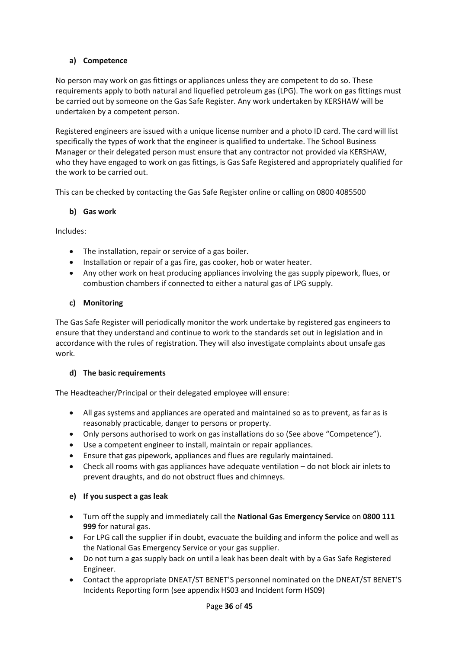# **a) Competence**

No person may work on gas fittings or appliances unless they are competent to do so. These requirements apply to both natural and liquefied petroleum gas (LPG). The work on gas fittings must be carried out by someone on the Gas Safe Register. Any work undertaken by KERSHAW will be undertaken by a competent person.

Registered engineers are issued with a unique license number and a photo ID card. The card will list specifically the types of work that the engineer is qualified to undertake. The School Business Manager or their delegated person must ensure that any contractor not provided via KERSHAW, who they have engaged to work on gas fittings, is Gas Safe Registered and appropriately qualified for the work to be carried out.

This can be checked by contacting the Gas Safe Register online or calling on 0800 4085500

## **b) Gas work**

Includes:

- The installation, repair or service of a gas boiler.
- Installation or repair of a gas fire, gas cooker, hob or water heater.
- Any other work on heat producing appliances involving the gas supply pipework, flues, or combustion chambers if connected to either a natural gas of LPG supply.

## **c) Monitoring**

The Gas Safe Register will periodically monitor the work undertake by registered gas engineers to ensure that they understand and continue to work to the standards set out in legislation and in accordance with the rules of registration. They will also investigate complaints about unsafe gas work.

## **d) The basic requirements**

The Headteacher/Principal or their delegated employee will ensure:

- All gas systems and appliances are operated and maintained so as to prevent, as far as is reasonably practicable, danger to persons or property.
- Only persons authorised to work on gas installations do so (See above "Competence").
- Use a competent engineer to install, maintain or repair appliances.
- Ensure that gas pipework, appliances and flues are regularly maintained.
- Check all rooms with gas appliances have adequate ventilation do not block air inlets to prevent draughts, and do not obstruct flues and chimneys.

## **e) If you suspect a gas leak**

- Turn off the supply and immediately call the **National Gas Emergency Service** on **0800 111 999** for natural gas.
- For LPG call the supplier if in doubt, evacuate the building and inform the police and well as the National Gas Emergency Service or your gas supplier.
- Do not turn a gas supply back on until a leak has been dealt with by a Gas Safe Registered Engineer.
- Contact the appropriate DNEAT/ST BENET'S personnel nominated on the DNEAT/ST BENET'S Incidents Reporting form (see appendix HS03 and Incident form HS09)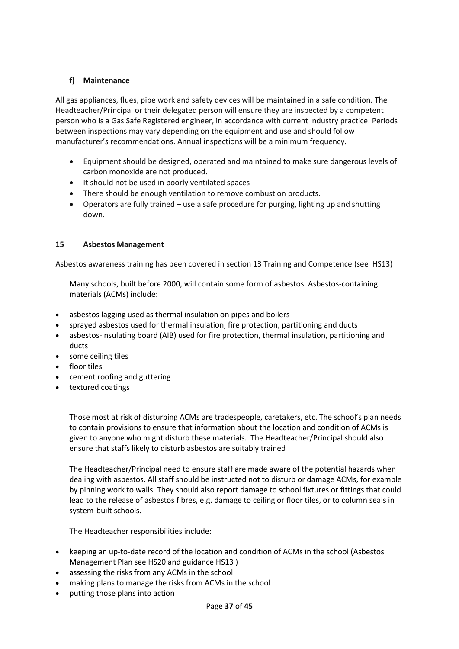## **f) Maintenance**

All gas appliances, flues, pipe work and safety devices will be maintained in a safe condition. The Headteacher/Principal or their delegated person will ensure they are inspected by a competent person who is a Gas Safe Registered engineer, in accordance with current industry practice. Periods between inspections may vary depending on the equipment and use and should follow manufacturer's recommendations. Annual inspections will be a minimum frequency.

- Equipment should be designed, operated and maintained to make sure dangerous levels of carbon monoxide are not produced.
- It should not be used in poorly ventilated spaces
- There should be enough ventilation to remove combustion products.
- Operators are fully trained use a safe procedure for purging, lighting up and shutting down.

## **15 Asbestos Management**

Asbestos awareness training has been covered in section 13 Training and Competence (see HS13)

Many schools, built before 2000, will contain some form of asbestos. Asbestos-containing materials (ACMs) include:

- asbestos lagging used as thermal insulation on pipes and boilers
- sprayed asbestos used for thermal insulation, fire protection, partitioning and ducts
- asbestos-insulating board (AIB) used for fire protection, thermal insulation, partitioning and ducts
- some ceiling tiles
- floor tiles
- cement roofing and guttering
- textured coatings

Those most at risk of disturbing ACMs are tradespeople, caretakers, etc. The school's plan needs to contain provisions to ensure that information about the location and condition of ACMs is given to anyone who might disturb these materials. The Headteacher/Principal should also ensure that staffs likely to disturb asbestos are suitably trained

The Headteacher/Principal need to ensure staff are made aware of the potential hazards when dealing with asbestos. All staff should be instructed not to disturb or damage ACMs, for example by pinning work to walls. They should also report damage to school fixtures or fittings that could lead to the release of asbestos fibres, e.g. damage to ceiling or floor tiles, or to column seals in system-built schools.

The Headteacher responsibilities include:

- keeping an up-to-date record of the location and condition of ACMs in the school (Asbestos Management Plan see HS20 and guidance HS13 )
- assessing the risks from any ACMs in the school
- making plans to manage the risks from ACMs in the school
- putting those plans into action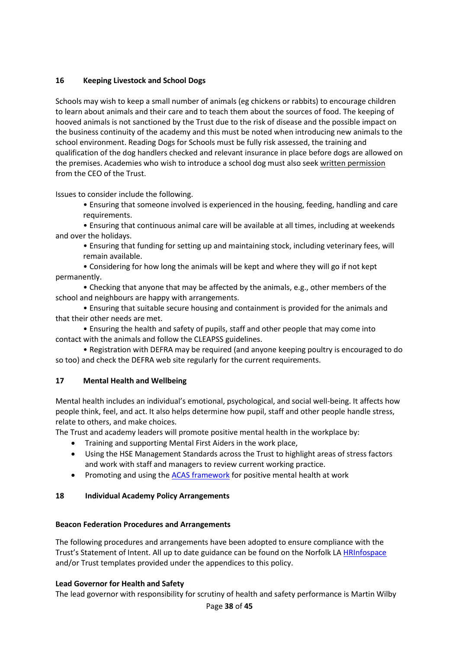## **16 Keeping Livestock and School Dogs**

Schools may wish to keep a small number of animals (eg chickens or rabbits) to encourage children to learn about animals and their care and to teach them about the sources of food. The keeping of hooved animals is not sanctioned by the Trust due to the risk of disease and the possible impact on the business continuity of the academy and this must be noted when introducing new animals to the school environment. Reading Dogs for Schools must be fully risk assessed, the training and qualification of the dog handlers checked and relevant insurance in place before dogs are allowed on the premises. Academies who wish to introduce a school dog must also seek written permission from the CEO of the Trust.

Issues to consider include the following.

• Ensuring that someone involved is experienced in the housing, feeding, handling and care requirements.

• Ensuring that continuous animal care will be available at all times, including at weekends and over the holidays.

• Ensuring that funding for setting up and maintaining stock, including veterinary fees, will remain available.

• Considering for how long the animals will be kept and where they will go if not kept permanently.

• Checking that anyone that may be affected by the animals, e.g., other members of the school and neighbours are happy with arrangements.

• Ensuring that suitable secure housing and containment is provided for the animals and that their other needs are met.

• Ensuring the health and safety of pupils, staff and other people that may come into contact with the animals and follow the CLEAPSS guidelines.

• Registration with DEFRA may be required (and anyone keeping poultry is encouraged to do so too) and check the DEFRA web site regularly for the current requirements.

## **17 Mental Health and Wellbeing**

Mental health includes an individual's emotional, psychological, and social well-being. It affects how people think, feel, and act. It also helps determine how pupil, staff and other people handle stress, relate to others, and make choices.

The Trust and academy leaders will promote positive mental health in the workplace by:

- Training and supporting Mental First Aiders in the work place,
- Using the HSE Management Standards across the Trust to highlight areas of stress factors and work with staff and managers to review current working practice.
- Promoting and using th[e ACAS framework](https://www.acas.org.uk/index.aspx?articleid=1900) for positive mental health at work

# **18 Individual Academy Policy Arrangements**

## **Beacon Federation Procedures and Arrangements**

The following procedures and arrangements have been adopted to ensure compliance with the Trust's Statement of Intent. All up to date guidance can be found on the Norfolk LA [HRInfospace](https://www.infospace.org.uk/hr/) and/or Trust templates provided under the appendices to this policy.

## **Lead Governor for Health and Safety**

The lead governor with responsibility for scrutiny of health and safety performance is Martin Wilby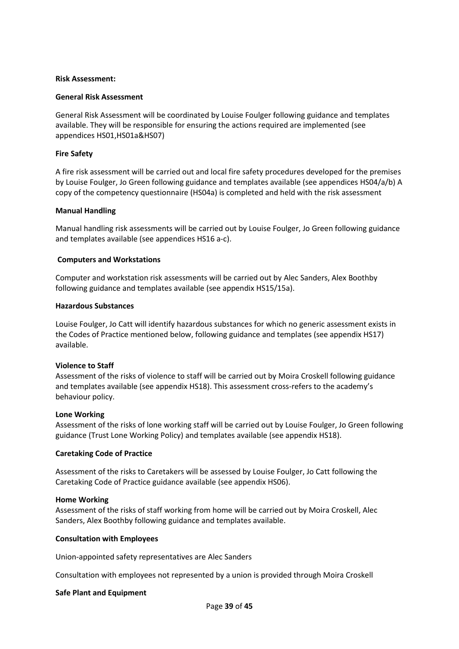#### **Risk Assessment:**

#### **General Risk Assessment**

General Risk Assessment will be coordinated by Louise Foulger following guidance and templates available. They will be responsible for ensuring the actions required are implemented (see appendices HS01,HS01a&HS07)

#### **Fire Safety**

A fire risk assessment will be carried out and local fire safety procedures developed for the premises by Louise Foulger, Jo Green following guidance and templates available (see appendices HS04/a/b) A copy of the competency questionnaire (HS04a) is completed and held with the risk assessment

#### **Manual Handling**

Manual handling risk assessments will be carried out by Louise Foulger, Jo Green following guidance and templates available (see appendices HS16 a-c).

#### **Computers and Workstations**

Computer and workstation risk assessments will be carried out by Alec Sanders, Alex Boothby following guidance and templates available (see appendix HS15/15a).

#### **Hazardous Substances**

Louise Foulger, Jo Catt will identify hazardous substances for which no generic assessment exists in the Codes of Practice mentioned below, following guidance and templates (see appendix HS17) available.

#### **Violence to Staff**

Assessment of the risks of violence to staff will be carried out by Moira Croskell following guidance and templates available (see appendix HS18). This assessment cross-refers to the academy's behaviour policy.

#### **Lone Working**

Assessment of the risks of lone working staff will be carried out by Louise Foulger, Jo Green following guidance (Trust Lone Working Policy) and templates available (see appendix HS18).

#### **Caretaking Code of Practice**

Assessment of the risks to Caretakers will be assessed by Louise Foulger, Jo Catt following the Caretaking Code of Practice guidance available (see appendix HS06).

#### **Home Working**

Assessment of the risks of staff working from home will be carried out by Moira Croskell, Alec Sanders, Alex Boothby following guidance and templates available.

#### **Consultation with Employees**

Union-appointed safety representatives are Alec Sanders

Consultation with employees not represented by a union is provided through Moira Croskell

#### **Safe Plant and Equipment**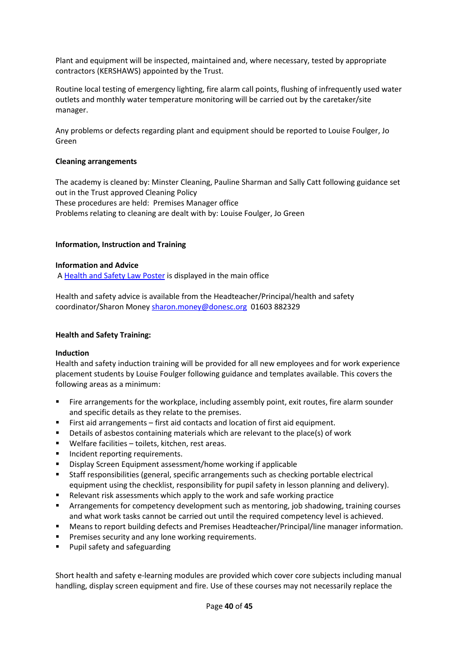Plant and equipment will be inspected, maintained and, where necessary, tested by appropriate contractors (KERSHAWS) appointed by the Trust.

Routine local testing of emergency lighting, fire alarm call points, flushing of infrequently used water outlets and monthly water temperature monitoring will be carried out by the caretaker/site manager.

Any problems or defects regarding plant and equipment should be reported to Louise Foulger, Jo Green

#### **Cleaning arrangements**

The academy is cleaned by: Minster Cleaning, Pauline Sharman and Sally Catt following guidance set out in the Trust approved Cleaning Policy These procedures are held: Premises Manager office Problems relating to cleaning are dealt with by: Louise Foulger, Jo Green

#### **Information, Instruction and Training**

#### **Information and Advice**

A [Health and Safety Law Poster](http://www.hse.gov.uk/pubns/books/lawposter.htm) is displayed in the main office

Health and safety advice is available from the Headteacher/Principal/health and safety coordinator/Sharon Money [sharon.money@donesc.org](mailto:sharon.money@donesc.org) 01603 882329

#### **Health and Safety Training:**

#### **Induction**

Health and safety induction training will be provided for all new employees and for work experience placement students by Louise Foulger following guidance and templates available. This covers the following areas as a minimum:

- **•** Fire arrangements for the workplace, including assembly point, exit routes, fire alarm sounder and specific details as they relate to the premises.
- First aid arrangements first aid contacts and location of first aid equipment.
- Details of asbestos containing materials which are relevant to the place(s) of work
- Welfare facilities toilets, kitchen, rest areas.
- Incident reporting requirements.
- Display Screen Equipment assessment/home working if applicable
- Staff responsibilities (general, specific arrangements such as checking portable electrical equipment using the checklist, responsibility for pupil safety in lesson planning and delivery).
- Relevant risk assessments which apply to the work and safe working practice
- **■** Arrangements for competency development such as mentoring, job shadowing, training courses and what work tasks cannot be carried out until the required competency level is achieved.
- **■** Means to report building defects and Premises Headteacher/Principal/line manager information.
- Premises security and any lone working requirements.
- Pupil safety and safeguarding

Short health and safety e-learning modules are provided which cover core subjects including manual handling, display screen equipment and fire. Use of these courses may not necessarily replace the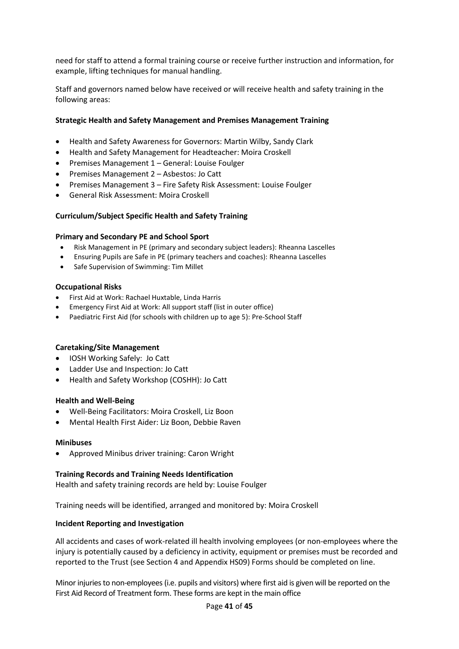need for staff to attend a formal training course or receive further instruction and information, for example, lifting techniques for manual handling.

Staff and governors named below have received or will receive health and safety training in the following areas:

#### **Strategic Health and Safety Management and Premises Management Training**

- Health and Safety Awareness for Governors: Martin Wilby, Sandy Clark
- Health and Safety Management for Headteacher: Moira Croskell
- Premises Management 1 General: Louise Foulger
- Premises Management 2 Asbestos: Jo Catt
- Premises Management 3 Fire Safety Risk Assessment: Louise Foulger
- General Risk Assessment: Moira Croskell

#### **Curriculum/Subject Specific Health and Safety Training**

#### **Primary and Secondary PE and School Sport**

- Risk Management in PE (primary and secondary subject leaders): Rheanna Lascelles
- Ensuring Pupils are Safe in PE (primary teachers and coaches): Rheanna Lascelles
- Safe Supervision of Swimming: Tim Millet

#### **Occupational Risks**

- First Aid at Work: Rachael Huxtable, Linda Harris
- Emergency First Aid at Work: All support staff (list in outer office)
- Paediatric First Aid (for schools with children up to age 5): Pre-School Staff

#### **Caretaking/Site Management**

- IOSH Working Safely: Jo Catt
- Ladder Use and Inspection: Jo Catt
- Health and Safety Workshop (COSHH): Jo Catt

#### **Health and Well-Being**

- Well-Being Facilitators: Moira Croskell, Liz Boon
- Mental Health First Aider: Liz Boon, Debbie Raven

#### **Minibuses**

• Approved Minibus driver training: Caron Wright

#### **Training Records and Training Needs Identification**

Health and safety training records are held by: Louise Foulger

Training needs will be identified, arranged and monitored by: Moira Croskell

#### **Incident Reporting and Investigation**

All accidents and cases of work-related ill health involving employees (or non-employees where the injury is potentially caused by a deficiency in activity, equipment or premises must be recorded and reported to the Trust (see Section 4 and Appendix HS09) Forms should be completed on line.

Minor injuries to non-employees (i.e. pupils and visitors) where first aid is given will be reported on the First Aid Record of Treatment form. These forms are kept in the main office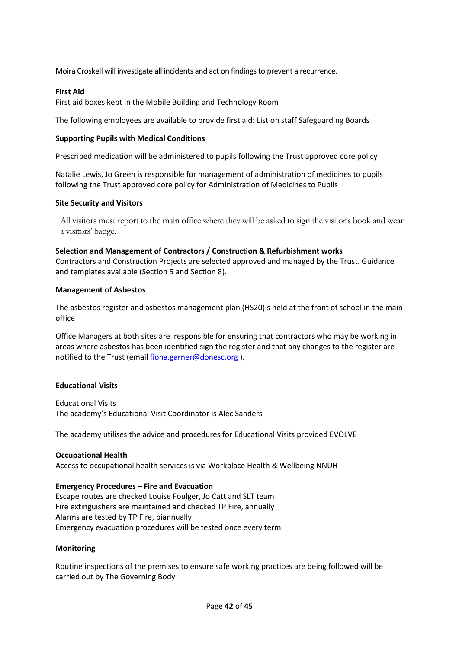Moira Croskell will investigate all incidents and act on findings to prevent a recurrence.

#### **First Aid**

First aid boxes kept in the Mobile Building and Technology Room

The following employees are available to provide first aid: List on staff Safeguarding Boards

#### **Supporting Pupils with Medical Conditions**

Prescribed medication will be administered to pupils following the Trust approved core policy

Natalie Lewis, Jo Green is responsible for management of administration of medicines to pupils following the Trust approved core policy for Administration of Medicines to Pupils

#### **Site Security and Visitors**

All visitors must report to the main office where they will be asked to sign the visitor's book and wear a visitors' badge.

#### **Selection and Management of Contractors / Construction & Refurbishment works**

Contractors and Construction Projects are selected approved and managed by the Trust. Guidance and templates available (Section 5 and Section 8).

#### **Management of Asbestos**

The asbestos register and asbestos management plan (HS20)is held at the front of school in the main office

Office Managers at both sites are responsible for ensuring that contractors who may be working in areas where asbestos has been identified sign the register and that any changes to the register are notified to the Trust (emai[l fiona.garner@donesc.org](mailto:fiona.garner@donesc.org)).

#### **Educational Visits**

Educational Visits The academy's Educational Visit Coordinator is Alec Sanders

The academy utilises the advice and procedures for Educational Visits provided EVOLVE

#### **Occupational Health**

Access to occupational health services is via Workplace Health & Wellbeing NNUH

#### **Emergency Procedures – Fire and Evacuation**

Escape routes are checked Louise Foulger, Jo Catt and SLT team Fire extinguishers are maintained and checked TP Fire, annually Alarms are tested by TP Fire, biannually Emergency evacuation procedures will be tested once every term.

#### **Monitoring**

Routine inspections of the premises to ensure safe working practices are being followed will be carried out by The Governing Body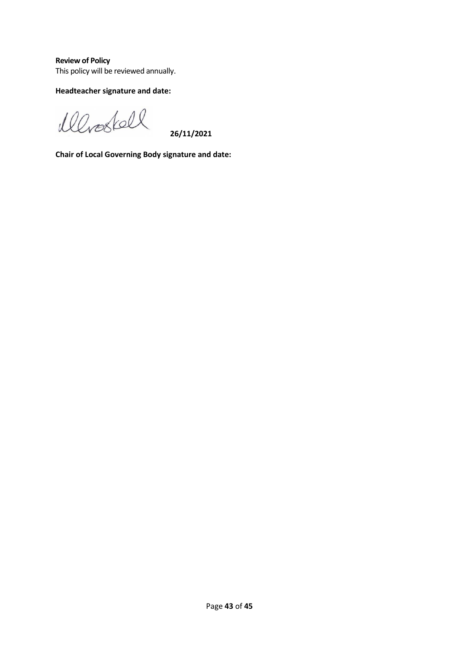**Review of Policy** This policy will be reviewed annually.

# **Headteacher signature and date:**

Werestell

 **26/11/2021**

**Chair of Local Governing Body signature and date:**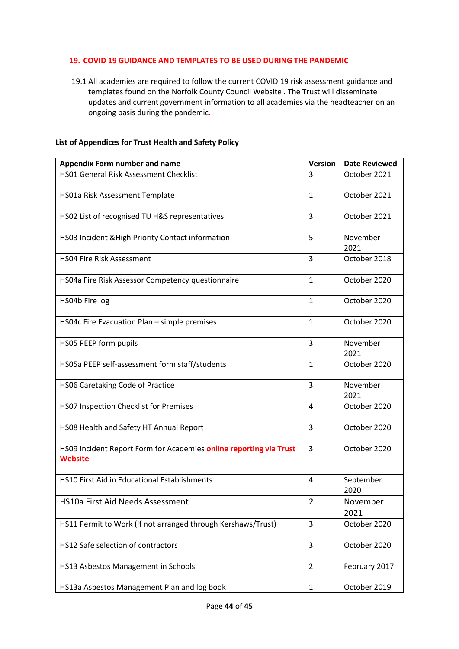#### **19. COVID 19 GUIDANCE AND TEMPLATES TO BE USED DURING THE PANDEMIC**

19.1 All academies are required to follow the current COVID 19 risk assessment guidance and templates found on the [Norfolk County Council Website](https://www.schools.norfolk.gov.uk/coronavirus/health-safety-and-wellbeing) . The Trust will disseminate updates and current government information to all academies via the headteacher on an ongoing basis during the pandemic.

#### **List of Appendices for Trust Health and Safety Policy**

| <b>Appendix Form number and name</b>                                                 | <b>Version</b> | <b>Date Reviewed</b> |
|--------------------------------------------------------------------------------------|----------------|----------------------|
| <b>HS01 General Risk Assessment Checklist</b>                                        | 3              | October 2021         |
| HS01a Risk Assessment Template                                                       | 1              | October 2021         |
| HS02 List of recognised TU H&S representatives                                       | 3              | October 2021         |
| HS03 Incident & High Priority Contact information                                    | 5              | November<br>2021     |
| <b>HSO4 Fire Risk Assessment</b>                                                     | 3              | October 2018         |
| HS04a Fire Risk Assessor Competency questionnaire                                    | $\mathbf{1}$   | October 2020         |
| HS04b Fire log                                                                       | $\mathbf{1}$   | October 2020         |
| HS04c Fire Evacuation Plan - simple premises                                         | $\mathbf{1}$   | October 2020         |
| HS05 PEEP form pupils                                                                | 3              | November<br>2021     |
| HS05a PEEP self-assessment form staff/students                                       | $\mathbf{1}$   | October 2020         |
| HS06 Caretaking Code of Practice                                                     | 3              | November<br>2021     |
| HS07 Inspection Checklist for Premises                                               | 4              | October 2020         |
| HS08 Health and Safety HT Annual Report                                              | 3              | October 2020         |
| HS09 Incident Report Form for Academies online reporting via Trust<br><b>Website</b> | 3              | October 2020         |
| HS10 First Aid in Educational Establishments                                         | 4              | September<br>2020    |
| HS10a First Aid Needs Assessment                                                     | $\overline{2}$ | November<br>2021     |
| HS11 Permit to Work (if not arranged through Kershaws/Trust)                         | 3              | October 2020         |
| HS12 Safe selection of contractors                                                   | 3              | October 2020         |
| HS13 Asbestos Management in Schools                                                  | $\overline{2}$ | February 2017        |
| HS13a Asbestos Management Plan and log book                                          | $\mathbf{1}$   | October 2019         |